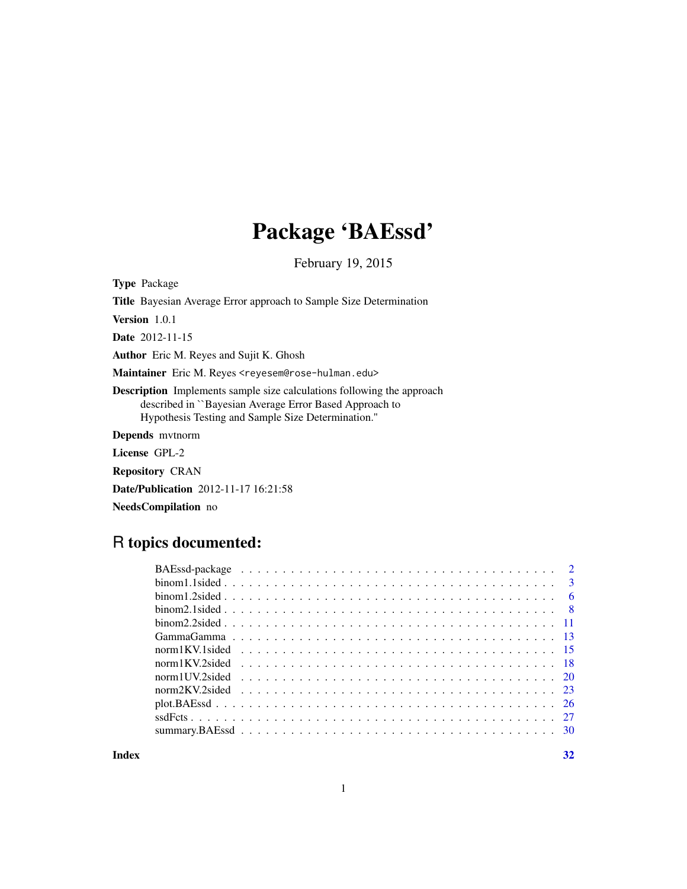# Package 'BAEssd'

February 19, 2015

<span id="page-0-0"></span>Type Package Title Bayesian Average Error approach to Sample Size Determination Version 1.0.1 Date 2012-11-15 Author Eric M. Reyes and Sujit K. Ghosh Maintainer Eric M. Reyes <reyesem@rose-hulman.edu> Description Implements sample size calculations following the approach described in ``Bayesian Average Error Based Approach to Hypothesis Testing and Sample Size Determination.'' Depends mvtnorm License GPL-2 Repository CRAN Date/Publication 2012-11-17 16:21:58

NeedsCompilation no

# R topics documented:

**Index** [32](#page-31-0)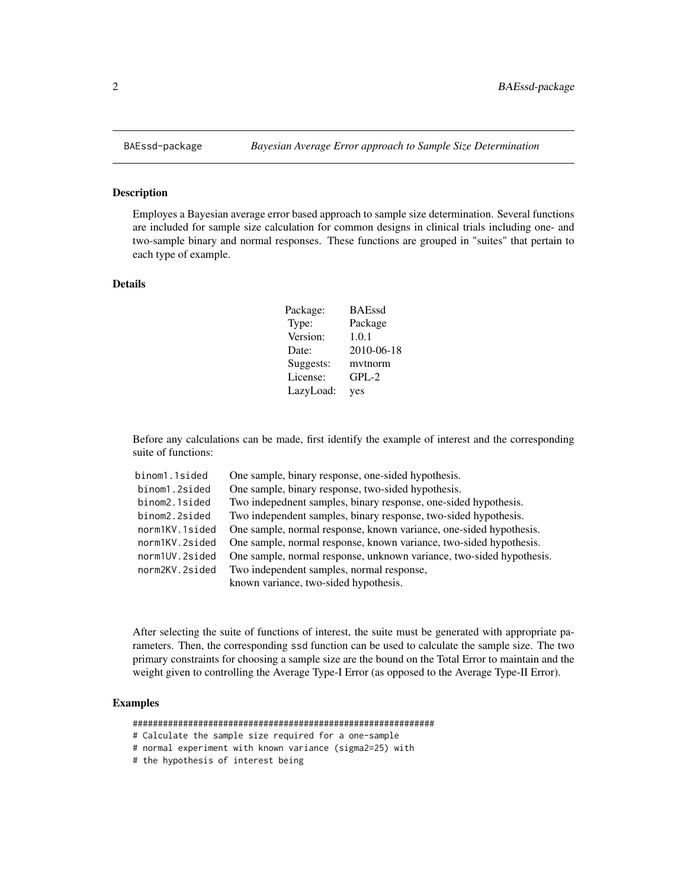#### <span id="page-1-1"></span>Description

Employes a Bayesian average error based approach to sample size determination. Several functions are included for sample size calculation for common designs in clinical trials including one- and two-sample binary and normal responses. These functions are grouped in "suites" that pertain to each type of example.

#### Details

| Package:  | <b>BAEssd</b> |
|-----------|---------------|
| Type:     | Package       |
| Version:  | 1.0.1         |
| Date:     | 2010-06-18    |
| Suggests: | mytnorm       |
| License:  | $GPL-2$       |
| LazyLoad: | yes           |

Before any calculations can be made, first identify the example of interest and the corresponding suite of functions:

| binom1.1sided  | One sample, binary response, one-sided hypothesis.                   |
|----------------|----------------------------------------------------------------------|
| binom1.2sided  | One sample, binary response, two-sided hypothesis.                   |
| binom2.1sided  | Two indepednent samples, binary response, one-sided hypothesis.      |
| binom2.2sided  | Two independent samples, binary response, two-sided hypothesis.      |
| norm1KV.1sided | One sample, normal response, known variance, one-sided hypothesis.   |
| norm1KV.2sided | One sample, normal response, known variance, two-sided hypothesis.   |
| norm1UV.2sided | One sample, normal response, unknown variance, two-sided hypothesis. |
| norm2KV.2sided | Two independent samples, normal response,                            |
|                | known variance, two-sided hypothesis.                                |

After selecting the suite of functions of interest, the suite must be generated with appropriate parameters. Then, the corresponding ssd function can be used to calculate the sample size. The two primary constraints for choosing a sample size are the bound on the Total Error to maintain and the weight given to controlling the Average Type-I Error (as opposed to the Average Type-II Error).

# Examples

############################################################

- # Calculate the sample size required for a one-sample
- # normal experiment with known variance (sigma2=25) with
- # the hypothesis of interest being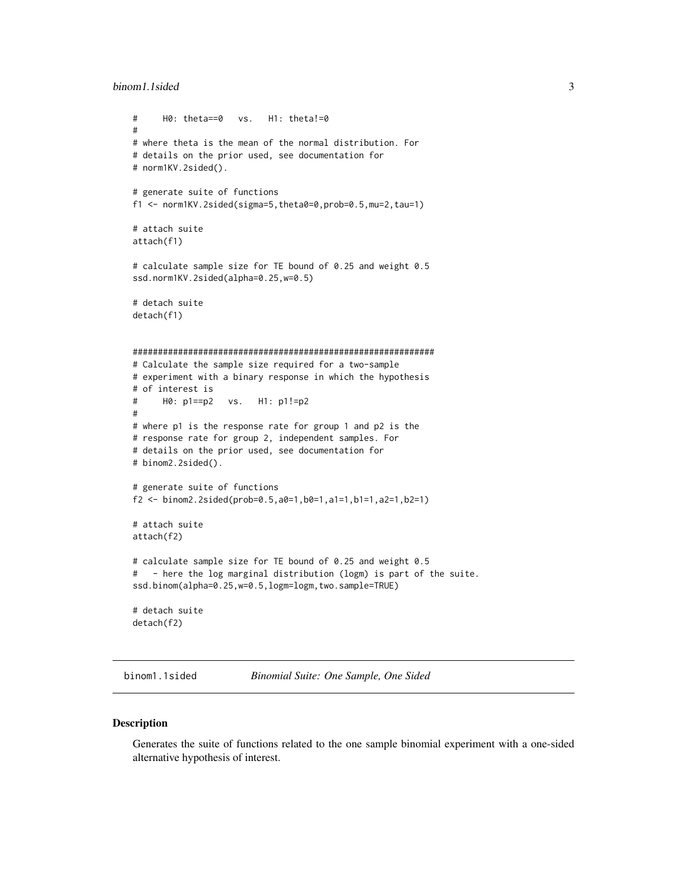#### <span id="page-2-0"></span>binom1.1sided 3

```
# H0: theta==0 vs. H1: theta!=0
#
# where theta is the mean of the normal distribution. For
# details on the prior used, see documentation for
# norm1KV.2sided().
# generate suite of functions
f1 <- norm1KV.2sided(sigma=5,theta0=0,prob=0.5,mu=2,tau=1)
# attach suite
attach(f1)
# calculate sample size for TE bound of 0.25 and weight 0.5
ssd.norm1KV.2sided(alpha=0.25,w=0.5)
# detach suite
detach(f1)
############################################################
# Calculate the sample size required for a two-sample
# experiment with a binary response in which the hypothesis
# of interest is
# H0: p1==p2 vs. H1: p1!=p2
#
# where p1 is the response rate for group 1 and p2 is the
# response rate for group 2, independent samples. For
# details on the prior used, see documentation for
# binom2.2sided().
# generate suite of functions
f2 <- binom2.2sided(prob=0.5,a0=1,b0=1,a1=1,b1=1,a2=1,b2=1)
# attach suite
attach(f2)
# calculate sample size for TE bound of 0.25 and weight 0.5
# - here the log marginal distribution (logm) is part of the suite.
ssd.binom(alpha=0.25,w=0.5,logm=logm,two.sample=TRUE)
# detach suite
detach(f2)
```
<span id="page-2-1"></span>binom1.1sided *Binomial Suite: One Sample, One Sided*

#### Description

Generates the suite of functions related to the one sample binomial experiment with a one-sided alternative hypothesis of interest.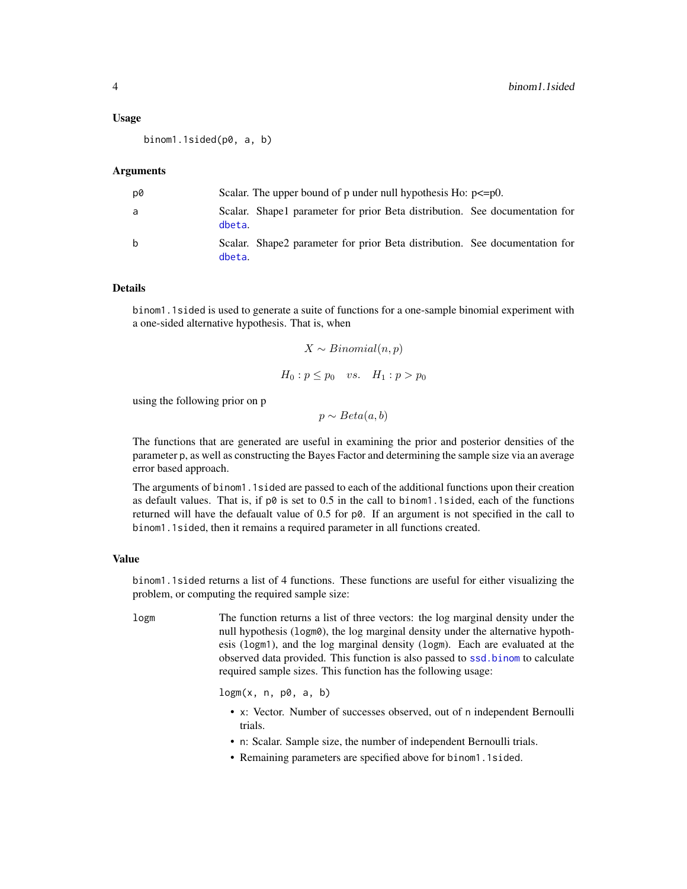#### <span id="page-3-0"></span>Usage

binom1.1sided(p0, a, b)

#### Arguments

| p0           |        | Scalar. The upper bound of p under null hypothesis Ho: $p \le p0$ .         |  |
|--------------|--------|-----------------------------------------------------------------------------|--|
| a            | dbeta. | Scalar. Shape1 parameter for prior Beta distribution. See documentation for |  |
| <sub>b</sub> | dbeta. | Scalar. Shape2 parameter for prior Beta distribution. See documentation for |  |

#### Details

binom1.1sided is used to generate a suite of functions for a one-sample binomial experiment with a one-sided alternative hypothesis. That is, when

$$
X \sim Binomial(n, p)
$$
  

$$
H_0: p \le p_0 \quad vs. \quad H_1: p > p_0
$$

using the following prior on p

 $p \sim Beta(a, b)$ 

The functions that are generated are useful in examining the prior and posterior densities of the parameter p, as well as constructing the Bayes Factor and determining the sample size via an average error based approach.

The arguments of binom1.1sided are passed to each of the additional functions upon their creation as default values. That is, if  $p\emptyset$  is set to 0.5 in the call to binom1.1sided, each of the functions returned will have the defaualt value of 0.5 for p0. If an argument is not specified in the call to binom1.1sided, then it remains a required parameter in all functions created.

#### Value

binom1.1sided returns a list of 4 functions. These functions are useful for either visualizing the problem, or computing the required sample size:

logm The function returns a list of three vectors: the log marginal density under the null hypothesis (logm0), the log marginal density under the alternative hypothesis (logm1), and the log marginal density (logm). Each are evaluated at the observed data provided. This function is also passed to [ssd.binom](#page-26-1) to calculate required sample sizes. This function has the following usage:

 $logm(x, n, p0, a, b)$ 

- x: Vector. Number of successes observed, out of n independent Bernoulli trials.
- n: Scalar. Sample size, the number of independent Bernoulli trials.
- Remaining parameters are specified above for binom1.1sided.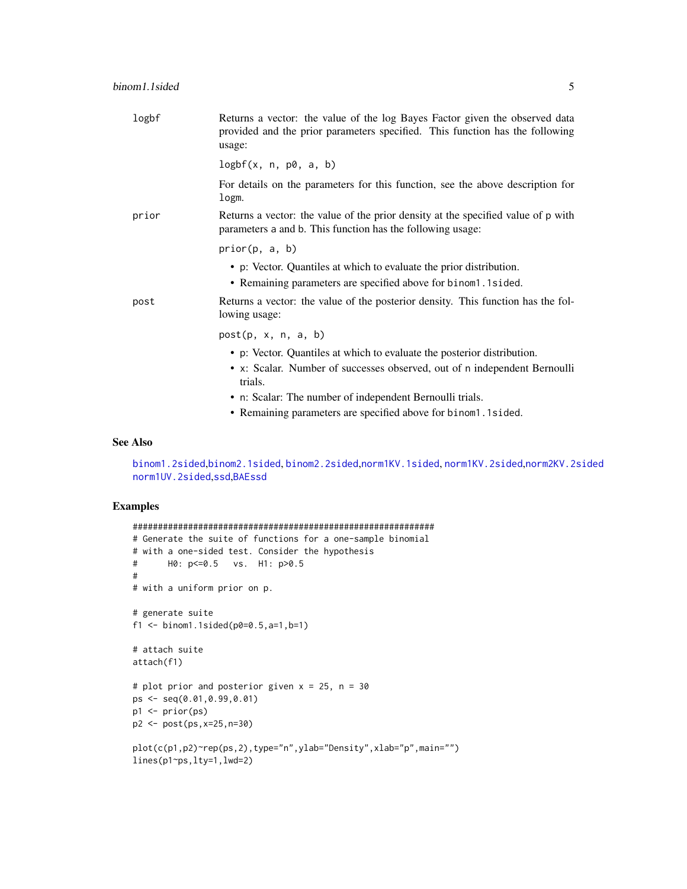<span id="page-4-0"></span>

| logbf | Returns a vector: the value of the log Bayes Factor given the observed data<br>provided and the prior parameters specified. This function has the following<br>usage: |
|-------|-----------------------------------------------------------------------------------------------------------------------------------------------------------------------|
|       | logbf(x, n, p0, a, b)                                                                                                                                                 |
|       | For details on the parameters for this function, see the above description for<br>logm.                                                                               |
| prior | Returns a vector: the value of the prior density at the specified value of p with<br>parameters a and b. This function has the following usage:                       |
|       | prior(p, a, b)                                                                                                                                                        |
|       | • p: Vector. Quantiles at which to evaluate the prior distribution.<br>• Remaining parameters are specified above for binom1.1sided.                                  |
| post  | Returns a vector: the value of the posterior density. This function has the fol-<br>lowing usage:                                                                     |
|       | post(p, x, n, a, b)                                                                                                                                                   |
|       | • p: Vector. Quantiles at which to evaluate the posterior distribution.                                                                                               |
|       | • x: Scalar. Number of successes observed, out of n independent Bernoulli<br>trials.                                                                                  |
|       | • n: Scalar: The number of independent Bernoulli trials.                                                                                                              |
|       | • Remaining parameters are specified above for binom1.1sided.                                                                                                         |

### See Also

[binom1.2sided](#page-5-1),[binom2.1sided](#page-7-1), [binom2.2sided](#page-10-1),[norm1KV.1sided](#page-14-1), [norm1KV.2sided](#page-17-1),[norm2KV.2sided](#page-22-1) [norm1UV.2sided](#page-19-1),[ssd](#page-26-1),[BAEssd](#page-1-1)

```
############################################################
# Generate the suite of functions for a one-sample binomial
# with a one-sided test. Consider the hypothesis
# H0: p<=0.5 vs. H1: p>0.5
#
# with a uniform prior on p.
# generate suite
f1 <- binom1.1sided(p0=0.5, a=1, b=1)
# attach suite
attach(f1)
# plot prior and posterior given x = 25, n = 30ps <- seq(0.01,0.99,0.01)
p1 <- prior(ps)
p2 <- post(ps,x=25,n=30)
plot(c(p1,p2)~rep(ps,2),type="n",ylab="Density",xlab="p",main="")
lines(p1~ps,lty=1,lwd=2)
```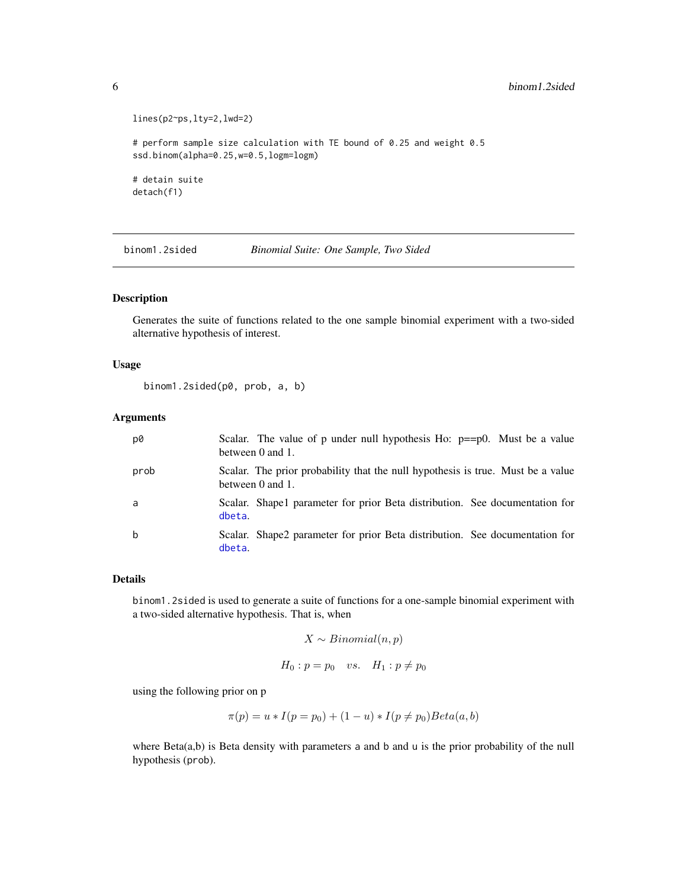```
lines(p2~ps,lty=2,lwd=2)
# perform sample size calculation with TE bound of 0.25 and weight 0.5
ssd.binom(alpha=0.25,w=0.5,logm=logm)
# detain suite
detach(f1)
```
<span id="page-5-1"></span>binom1.2sided *Binomial Suite: One Sample, Two Sided*

#### Description

Generates the suite of functions related to the one sample binomial experiment with a two-sided alternative hypothesis of interest.

#### Usage

```
binom1.2sided(p0, prob, a, b)
```
#### Arguments

| p0   | Scalar. The value of p under null hypothesis Ho: $p == p0$ . Must be a value<br>between 0 and 1.    |
|------|-----------------------------------------------------------------------------------------------------|
| prob | Scalar. The prior probability that the null hypothesis is true. Must be a value<br>between 0 and 1. |
| a    | Scalar. Shape1 parameter for prior Beta distribution. See documentation for<br>dbeta.               |
| b    | Scalar. Shape2 parameter for prior Beta distribution. See documentation for<br>dbeta.               |

#### Details

binom1.2sided is used to generate a suite of functions for a one-sample binomial experiment with a two-sided alternative hypothesis. That is, when

```
X \sim Binomial(n, p)
```

$$
H_0: p = p_0 \quad vs. \quad H_1: p \neq p_0
$$

using the following prior on p

$$
\pi(p) = u * I(p = p_0) + (1 - u) * I(p \neq p_0) Beta(a, b)
$$

where Beta(a,b) is Beta density with parameters a and b and u is the prior probability of the null hypothesis (prob).

<span id="page-5-0"></span>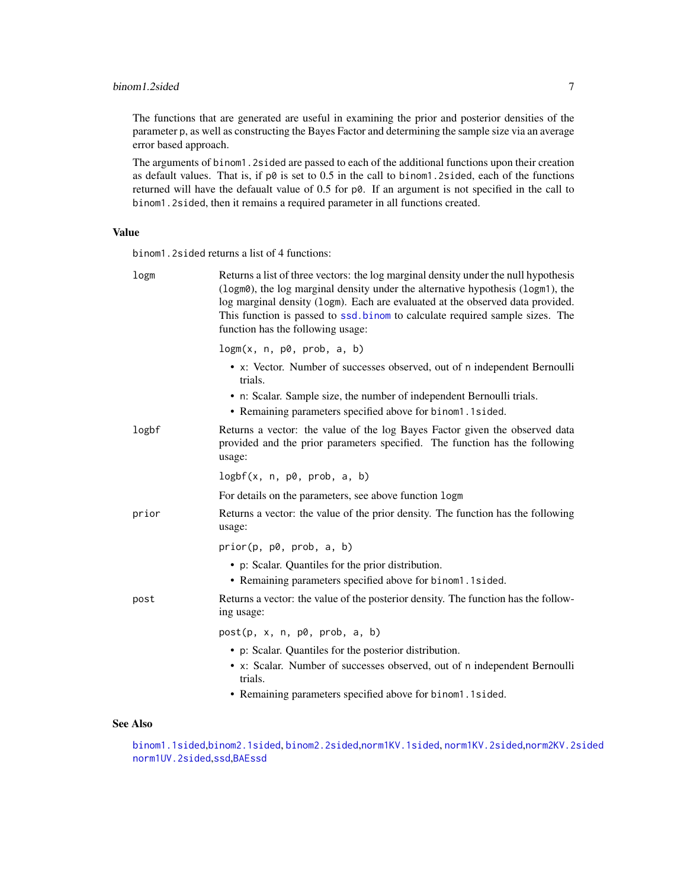<span id="page-6-0"></span>The functions that are generated are useful in examining the prior and posterior densities of the parameter p, as well as constructing the Bayes Factor and determining the sample size via an average error based approach.

The arguments of binom1.2sided are passed to each of the additional functions upon their creation as default values. That is, if  $p\theta$  is set to 0.5 in the call to binom1.2sided, each of the functions returned will have the defaualt value of  $0.5$  for  $p\theta$ . If an argument is not specified in the call to binom1.2sided, then it remains a required parameter in all functions created.

#### Value

binom1.2sided returns a list of 4 functions:

| logm  | Returns a list of three vectors: the log marginal density under the null hypothesis<br>(logm0), the log marginal density under the alternative hypothesis (logm1), the<br>log marginal density (logm). Each are evaluated at the observed data provided.<br>This function is passed to ssd. binom to calculate required sample sizes. The<br>function has the following usage: |
|-------|--------------------------------------------------------------------------------------------------------------------------------------------------------------------------------------------------------------------------------------------------------------------------------------------------------------------------------------------------------------------------------|
|       | logm(x, n, p0, prob, a, b)                                                                                                                                                                                                                                                                                                                                                     |
|       | • x: Vector. Number of successes observed, out of n independent Bernoulli<br>trials.                                                                                                                                                                                                                                                                                           |
|       | • n: Scalar. Sample size, the number of independent Bernoulli trials.<br>• Remaining parameters specified above for binom1.1sided.                                                                                                                                                                                                                                             |
| logbf | Returns a vector: the value of the log Bayes Factor given the observed data<br>provided and the prior parameters specified. The function has the following<br>usage:                                                                                                                                                                                                           |
|       | logbf(x, n, p0, prob, a, b)                                                                                                                                                                                                                                                                                                                                                    |
|       | For details on the parameters, see above function logm                                                                                                                                                                                                                                                                                                                         |
| prior | Returns a vector: the value of the prior density. The function has the following<br>usage:                                                                                                                                                                                                                                                                                     |
|       | prior(p, p0, prob, a, b)                                                                                                                                                                                                                                                                                                                                                       |
|       | • p: Scalar. Quantiles for the prior distribution.                                                                                                                                                                                                                                                                                                                             |
|       | • Remaining parameters specified above for binom1.1sided.                                                                                                                                                                                                                                                                                                                      |
| post  | Returns a vector: the value of the posterior density. The function has the follow-<br>ing usage:                                                                                                                                                                                                                                                                               |
|       | post(p, x, n, p0, prob, a, b)                                                                                                                                                                                                                                                                                                                                                  |
|       | • p: Scalar. Quantiles for the posterior distribution.                                                                                                                                                                                                                                                                                                                         |
|       | • x: Scalar. Number of successes observed, out of n independent Bernoulli<br>trials.                                                                                                                                                                                                                                                                                           |
|       | • Remaining parameters specified above for binom1.1sided.                                                                                                                                                                                                                                                                                                                      |

# See Also

[binom1.1sided](#page-2-1),[binom2.1sided](#page-7-1), [binom2.2sided](#page-10-1),[norm1KV.1sided](#page-14-1), [norm1KV.2sided](#page-17-1),[norm2KV.2sided](#page-22-1) [norm1UV.2sided](#page-19-1),[ssd](#page-26-1),[BAEssd](#page-1-1)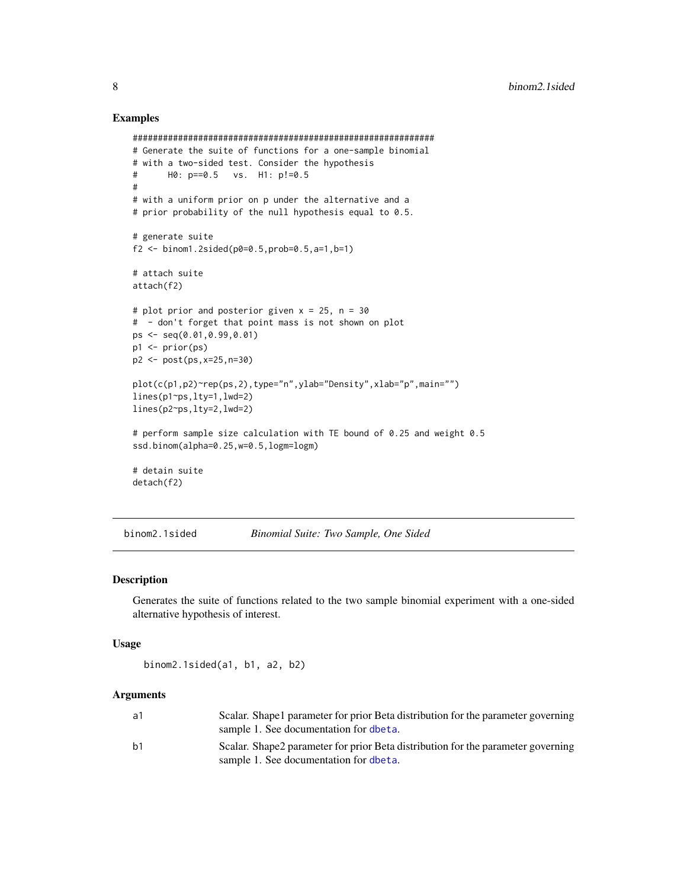#### Examples

```
############################################################
# Generate the suite of functions for a one-sample binomial
# with a two-sided test. Consider the hypothesis
# H0: p==0.5 vs. H1: p!=0.5
#
# with a uniform prior on p under the alternative and a
# prior probability of the null hypothesis equal to 0.5.
# generate suite
f2 <- binom1.2sided(p0=0.5,prob=0.5,a=1,b=1)
# attach suite
attach(f2)
# plot prior and posterior given x = 25, n = 30# - don't forget that point mass is not shown on plot
ps <- seq(0.01,0.99,0.01)
p1 <- prior(ps)
p2 <- post(ps,x=25,n=30)
plot(c(p1,p2)~rep(ps,2),type="n",ylab="Density",xlab="p",main="")
lines(p1~ps,lty=1,lwd=2)
lines(p2~ps,lty=2,lwd=2)
# perform sample size calculation with TE bound of 0.25 and weight 0.5
ssd.binom(alpha=0.25,w=0.5,logm=logm)
# detain suite
detach(f2)
```
<span id="page-7-1"></span>binom2.1sided *Binomial Suite: Two Sample, One Sided*

#### Description

Generates the suite of functions related to the two sample binomial experiment with a one-sided alternative hypothesis of interest.

#### Usage

```
binom2.1sided(a1, b1, a2, b2)
```
#### Arguments

| a1 | Scalar. Shape1 parameter for prior Beta distribution for the parameter governing<br>sample 1. See documentation for dbeta. |
|----|----------------------------------------------------------------------------------------------------------------------------|
| b1 | Scalar. Shape2 parameter for prior Beta distribution for the parameter governing<br>sample 1. See documentation for dbeta. |

<span id="page-7-0"></span>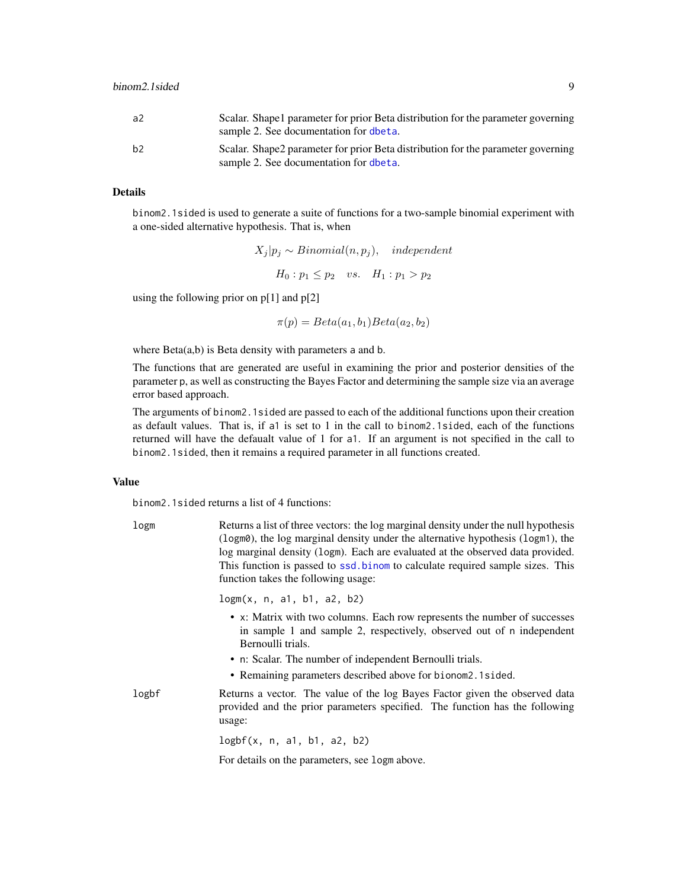<span id="page-8-0"></span>

| a2 | Scalar. Shape 1 parameter for prior Beta distribution for the parameter governing<br>sample 2. See documentation for dbeta. |
|----|-----------------------------------------------------------------------------------------------------------------------------|
| b2 | Scalar. Shape2 parameter for prior Beta distribution for the parameter governing<br>sample 2. See documentation for dbeta.  |

# Details

binom2.1sided is used to generate a suite of functions for a two-sample binomial experiment with a one-sided alternative hypothesis. That is, when

$$
X_j|p_j \sim Binomial(n, p_j),
$$
 independent  

$$
H_0: p_1 \le p_2
$$
 vs.  $H_1: p_1 > p_2$ 

using the following prior on  $p[1]$  and  $p[2]$ 

 $\pi(p) = Beta(a_1, b_1) Beta(a_2, b_2)$ 

where  $Beta(a,b)$  is Beta density with parameters a and b.

The functions that are generated are useful in examining the prior and posterior densities of the parameter p, as well as constructing the Bayes Factor and determining the sample size via an average error based approach.

The arguments of binom2.1sided are passed to each of the additional functions upon their creation as default values. That is, if a1 is set to 1 in the call to binom2.1sided, each of the functions returned will have the defaualt value of 1 for a1. If an argument is not specified in the call to binom2.1sided, then it remains a required parameter in all functions created.

# Value

binom2.1sided returns a list of 4 functions:

| logm  | Returns a list of three vectors: the log marginal density under the null hypothesis<br>$(\log m\theta)$ , the log marginal density under the alternative hypothesis (logm1), the<br>log marginal density (logm). Each are evaluated at the observed data provided.<br>This function is passed to ssd.binom to calculate required sample sizes. This<br>function takes the following usage: |
|-------|--------------------------------------------------------------------------------------------------------------------------------------------------------------------------------------------------------------------------------------------------------------------------------------------------------------------------------------------------------------------------------------------|
|       | logm(x, n, a1, b1, a2, b2)                                                                                                                                                                                                                                                                                                                                                                 |
|       | • x: Matrix with two columns. Each row represents the number of successes<br>in sample 1 and sample 2, respectively, observed out of n independent<br>Bernoulli trials.<br>• n: Scalar. The number of independent Bernoulli trials.<br>• Remaining parameters described above for bionom2.1sided.                                                                                          |
| logbf | Returns a vector. The value of the log Bayes Factor given the observed data<br>provided and the prior parameters specified. The function has the following<br>usage:                                                                                                                                                                                                                       |
|       | logbf(x, n, a1, b1, a2, b2)                                                                                                                                                                                                                                                                                                                                                                |
|       | For details on the parameters, see logm above.                                                                                                                                                                                                                                                                                                                                             |
|       |                                                                                                                                                                                                                                                                                                                                                                                            |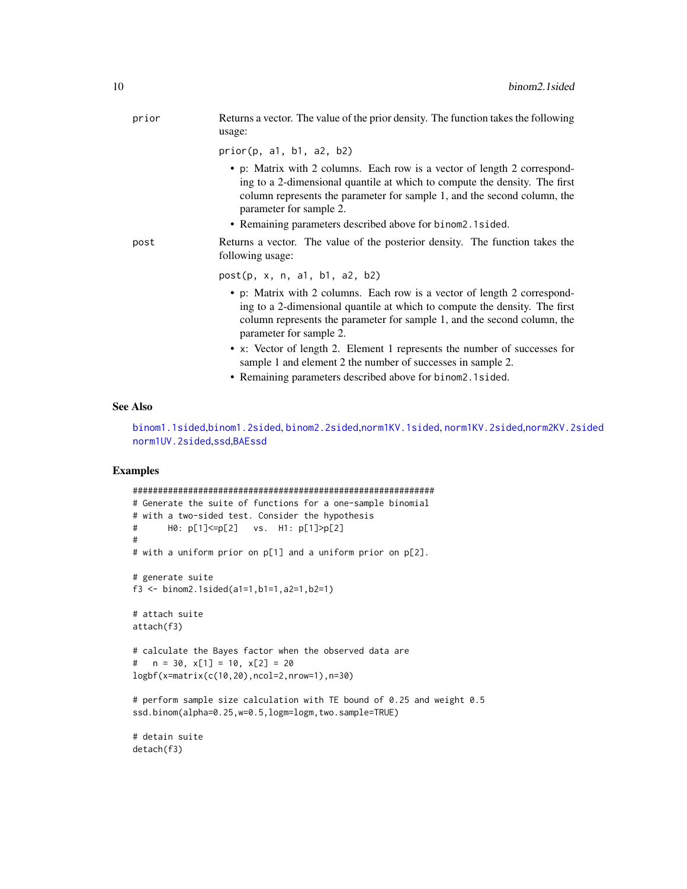<span id="page-9-0"></span>

| prior | Returns a vector. The value of the prior density. The function takes the following<br>usage:                                                                                                                                                                  |
|-------|---------------------------------------------------------------------------------------------------------------------------------------------------------------------------------------------------------------------------------------------------------------|
|       | prior(p, a1, b1, a2, b2)                                                                                                                                                                                                                                      |
|       | • p: Matrix with 2 columns. Each row is a vector of length 2 correspond-<br>ing to a 2-dimensional quantile at which to compute the density. The first<br>column represents the parameter for sample 1, and the second column, the<br>parameter for sample 2. |
|       | • Remaining parameters described above for binom 2.1 sided.                                                                                                                                                                                                   |
| post  | Returns a vector. The value of the posterior density. The function takes the<br>following usage:                                                                                                                                                              |
|       | post(p, x, n, a1, b1, a2, b2)                                                                                                                                                                                                                                 |
|       | • p: Matrix with 2 columns. Each row is a vector of length 2 correspond-<br>ing to a 2-dimensional quantile at which to compute the density. The first<br>column represents the parameter for sample 1, and the second column, the<br>parameter for sample 2. |
|       | • x: Vector of length 2. Element 1 represents the number of successes for<br>sample 1 and element 2 the number of successes in sample 2.                                                                                                                      |
|       | • Remaining parameters described above for binom 2.1 sided.                                                                                                                                                                                                   |

#### See Also

[binom1.1sided](#page-2-1),[binom1.2sided](#page-5-1), [binom2.2sided](#page-10-1),[norm1KV.1sided](#page-14-1), [norm1KV.2sided](#page-17-1),[norm2KV.2sided](#page-22-1) [norm1UV.2sided](#page-19-1),[ssd](#page-26-1),[BAEssd](#page-1-1)

### Examples

```
############################################################
# Generate the suite of functions for a one-sample binomial
# with a two-sided test. Consider the hypothesis
# H0: p[1]<=p[2] vs. H1: p[1]>p[2]
#
# with a uniform prior on p[1] and a uniform prior on p[2].
# generate suite
f3 <- binom2.1sided(a1=1,b1=1,a2=1,b2=1)
# attach suite
attach(f3)
# calculate the Bayes factor when the observed data are
# n = 30, x[1] = 10, x[2] = 20logbf(x=matrix(c(10,20),ncol=2,nrow=1),n=30)
# perform sample size calculation with TE bound of 0.25 and weight 0.5
ssd.binom(alpha=0.25,w=0.5,logm=logm,two.sample=TRUE)
```
# detain suite detach(f3)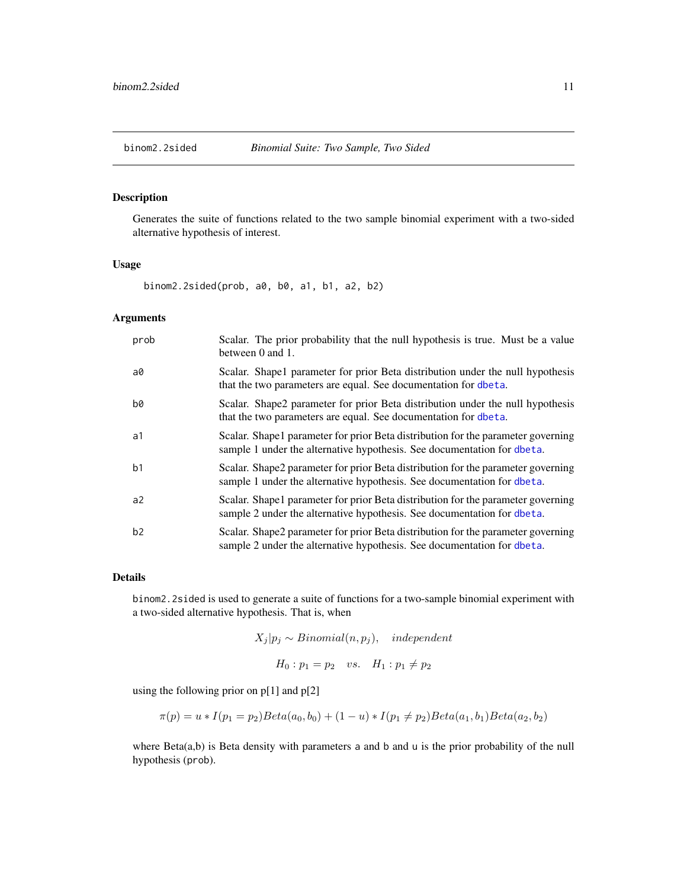# <span id="page-10-1"></span><span id="page-10-0"></span>Description

Generates the suite of functions related to the two sample binomial experiment with a two-sided alternative hypothesis of interest.

#### Usage

binom2.2sided(prob, a0, b0, a1, b1, a2, b2)

### Arguments

| prob           | Scalar. The prior probability that the null hypothesis is true. Must be a value<br>between 0 and 1.                                                          |
|----------------|--------------------------------------------------------------------------------------------------------------------------------------------------------------|
| a0             | Scalar. Shape 1 parameter for prior Beta distribution under the null hypothesis<br>that the two parameters are equal. See documentation for dbeta.           |
| b0             | Scalar. Shape2 parameter for prior Beta distribution under the null hypothesis<br>that the two parameters are equal. See documentation for dbeta.            |
| a1             | Scalar. Shape 1 parameter for prior Beta distribution for the parameter governing<br>sample 1 under the alternative hypothesis. See documentation for dbeta. |
| b <sub>1</sub> | Scalar. Shape2 parameter for prior Beta distribution for the parameter governing<br>sample 1 under the alternative hypothesis. See documentation for dbeta.  |
| a2             | Scalar. Shape1 parameter for prior Beta distribution for the parameter governing<br>sample 2 under the alternative hypothesis. See documentation for dbeta.  |
| b2             | Scalar. Shape2 parameter for prior Beta distribution for the parameter governing<br>sample 2 under the alternative hypothesis. See documentation for dbeta.  |

#### Details

binom2.2sided is used to generate a suite of functions for a two-sample binomial experiment with a two-sided alternative hypothesis. That is, when

 $X_j | p_j \sim Binomial(n, p_j), \text{ independent}$ 

 $H_0: p_1 = p_2$  vs.  $H_1: p_1 \neq p_2$ 

using the following prior on p[1] and p[2]

$$
\pi(p) = u * I(p_1 = p_2) Beta(a_0, b_0) + (1 - u) * I(p_1 \neq p_2) Beta(a_1, b_1) Beta(a_2, b_2)
$$

where Beta(a,b) is Beta density with parameters a and b and u is the prior probability of the null hypothesis (prob).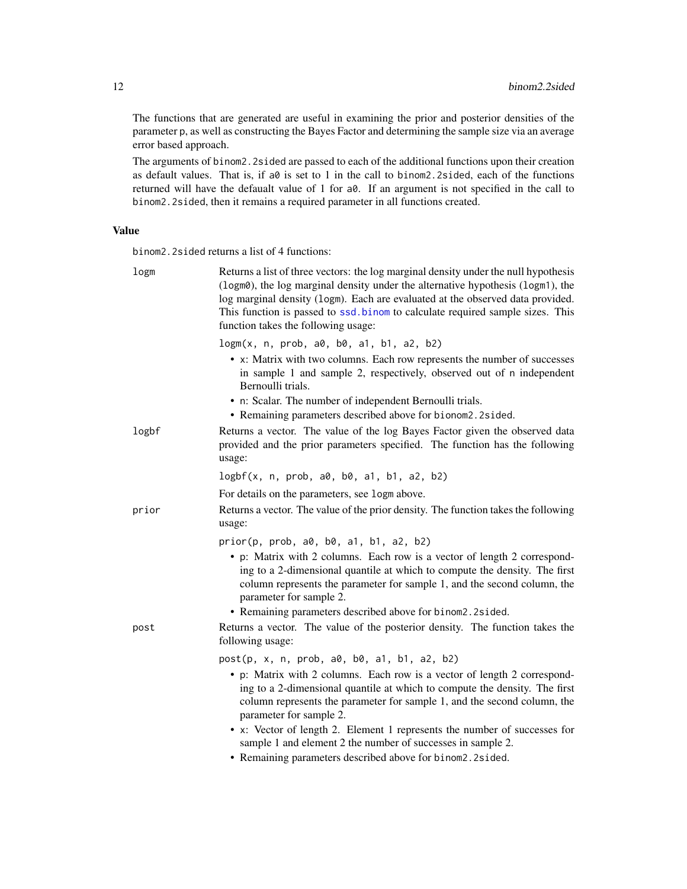The functions that are generated are useful in examining the prior and posterior densities of the parameter p, as well as constructing the Bayes Factor and determining the sample size via an average error based approach.

The arguments of binom2.2sided are passed to each of the additional functions upon their creation as default values. That is, if  $a\theta$  is set to 1 in the call to binom2.2sided, each of the functions returned will have the defaualt value of 1 for a0. If an argument is not specified in the call to binom2.2sided, then it remains a required parameter in all functions created.

#### Value

binom2.2sided returns a list of 4 functions:

| logm  | Returns a list of three vectors: the log marginal density under the null hypothesis<br>(logm0), the log marginal density under the alternative hypothesis (logm1), the<br>log marginal density (logm). Each are evaluated at the observed data provided.<br>This function is passed to ssd.binom to calculate required sample sizes. This<br>function takes the following usage: |
|-------|----------------------------------------------------------------------------------------------------------------------------------------------------------------------------------------------------------------------------------------------------------------------------------------------------------------------------------------------------------------------------------|
|       | $logm(x, n, prob, a0, b0, a1, b1, a2, b2)$<br>• x: Matrix with two columns. Each row represents the number of successes<br>in sample 1 and sample 2, respectively, observed out of n independent<br>Bernoulli trials.                                                                                                                                                            |
|       | • n: Scalar. The number of independent Bernoulli trials.<br>• Remaining parameters described above for bionom2.2sided.                                                                                                                                                                                                                                                           |
| logbf | Returns a vector. The value of the log Bayes Factor given the observed data<br>provided and the prior parameters specified. The function has the following<br>usage:                                                                                                                                                                                                             |
|       | logbf(x, n, prob, a0, b0, a1, b1, a2, b2)                                                                                                                                                                                                                                                                                                                                        |
|       | For details on the parameters, see logm above.                                                                                                                                                                                                                                                                                                                                   |
| prior | Returns a vector. The value of the prior density. The function takes the following<br>usage:                                                                                                                                                                                                                                                                                     |
|       | prior(p, prob, a0, b0, a1, b1, a2, b2)                                                                                                                                                                                                                                                                                                                                           |
|       | • p: Matrix with 2 columns. Each row is a vector of length 2 correspond-<br>ing to a 2-dimensional quantile at which to compute the density. The first<br>column represents the parameter for sample 1, and the second column, the<br>parameter for sample 2.                                                                                                                    |
|       | • Remaining parameters described above for binom2.2sided.                                                                                                                                                                                                                                                                                                                        |
| post  | Returns a vector. The value of the posterior density. The function takes the<br>following usage:                                                                                                                                                                                                                                                                                 |
|       | post(p, x, n, prob, a0, b0, a1, b1, a2, b2)                                                                                                                                                                                                                                                                                                                                      |
|       | • p: Matrix with 2 columns. Each row is a vector of length 2 correspond-<br>ing to a 2-dimensional quantile at which to compute the density. The first<br>column represents the parameter for sample 1, and the second column, the<br>parameter for sample 2.                                                                                                                    |
|       | • x: Vector of length 2. Element 1 represents the number of successes for<br>sample 1 and element 2 the number of successes in sample 2.<br>• Remaining parameters described above for binom2.2sided.                                                                                                                                                                            |
|       |                                                                                                                                                                                                                                                                                                                                                                                  |

<span id="page-11-0"></span>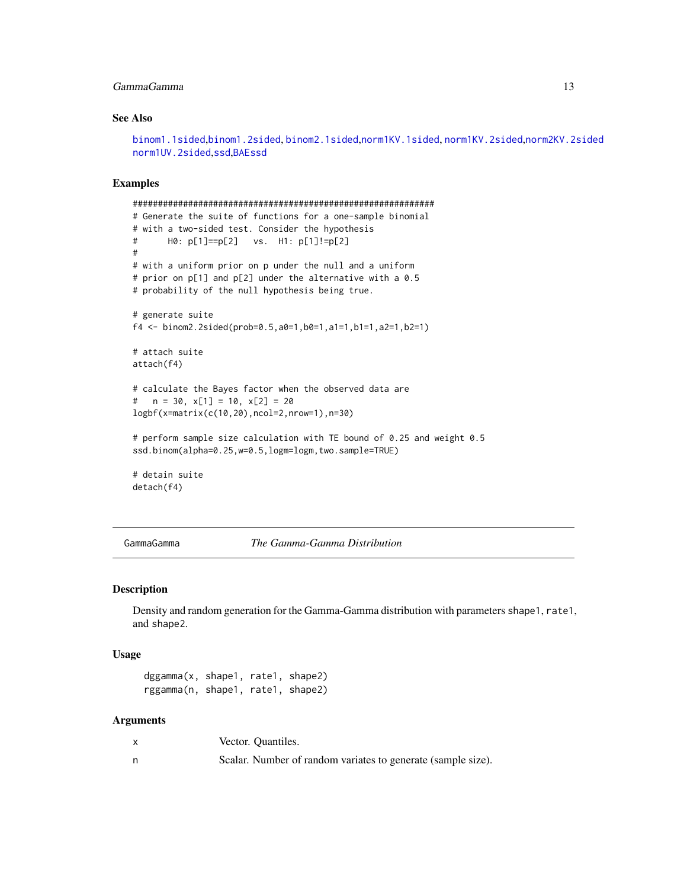#### <span id="page-12-0"></span>GammaGamma 13

#### See Also

[binom1.1sided](#page-2-1),[binom1.2sided](#page-5-1), [binom2.1sided](#page-7-1),[norm1KV.1sided](#page-14-1), [norm1KV.2sided](#page-17-1),[norm2KV.2sided](#page-22-1) [norm1UV.2sided](#page-19-1),[ssd](#page-26-1),[BAEssd](#page-1-1)

#### Examples

```
############################################################
# Generate the suite of functions for a one-sample binomial
# with a two-sided test. Consider the hypothesis
# H0: p[1]==p[2] vs. H1: p[1]!=p[2]
#
# with a uniform prior on p under the null and a uniform
# prior on p[1] and p[2] under the alternative with a 0.5
# probability of the null hypothesis being true.
# generate suite
f4 <- binom2.2sided(prob=0.5,a0=1,b0=1,a1=1,b1=1,a2=1,b2=1)
# attach suite
attach(f4)
# calculate the Bayes factor when the observed data are
# n = 30, x[1] = 10, x[2] = 20logbf(x=matrix(c(10,20),ncol=2,nrow=1),n=30)
# perform sample size calculation with TE bound of 0.25 and weight 0.5
ssd.binom(alpha=0.25,w=0.5,logm=logm,two.sample=TRUE)
# detain suite
detach(f4)
```
GammaGamma *The Gamma-Gamma Distribution*

#### **Description**

Density and random generation for the Gamma-Gamma distribution with parameters shape1, rate1, and shape2.

#### Usage

dggamma(x, shape1, rate1, shape2) rggamma(n, shape1, rate1, shape2)

#### Arguments

| Vector. Quantiles.                                           |
|--------------------------------------------------------------|
| Scalar. Number of random variates to generate (sample size). |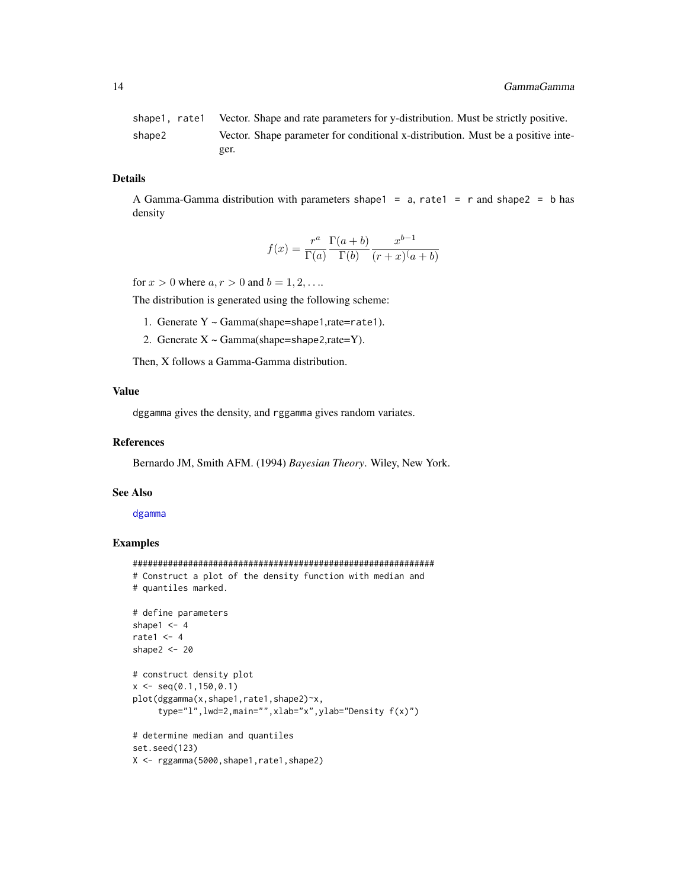<span id="page-13-0"></span>shape1, rate1 Vector. Shape and rate parameters for y-distribution. Must be strictly positive. shape2 Vector. Shape parameter for conditional x-distribution. Must be a positive integer.

#### Details

A Gamma-Gamma distribution with parameters shape1 =  $a$ , rate1 = r and shape2 = b has density

$$
f(x) = \frac{r^a}{\Gamma(a)} \frac{\Gamma(a+b)}{\Gamma(b)} \frac{x^{b-1}}{(r+x)(a+b)}
$$

for  $x > 0$  where  $a, r > 0$  and  $b = 1, 2, ...$ 

The distribution is generated using the following scheme:

- 1. Generate Y ~ Gamma(shape=shape1,rate=rate1).
- 2. Generate  $X \sim \text{Gamma}(\text{shape}=\text{shape}2,\text{rate}=Y)$ .

Then, X follows a Gamma-Gamma distribution.

#### Value

dggamma gives the density, and rggamma gives random variates.

#### References

Bernardo JM, Smith AFM. (1994) *Bayesian Theory*. Wiley, New York.

#### See Also

[dgamma](#page-0-0)

```
############################################################
# Construct a plot of the density function with median and
# quantiles marked.
# define parameters
shape1 <-4rate1 <-4shape2 <- 20
# construct density plot
x \leq -\text{seq}(0.1, 150, 0.1)plot(dggamma(x,shape1,rate1,shape2)~x,
     type="l",lwd=2,main="",xlab="x",ylab="Density f(x)")
# determine median and quantiles
set.seed(123)
X <- rggamma(5000,shape1,rate1,shape2)
```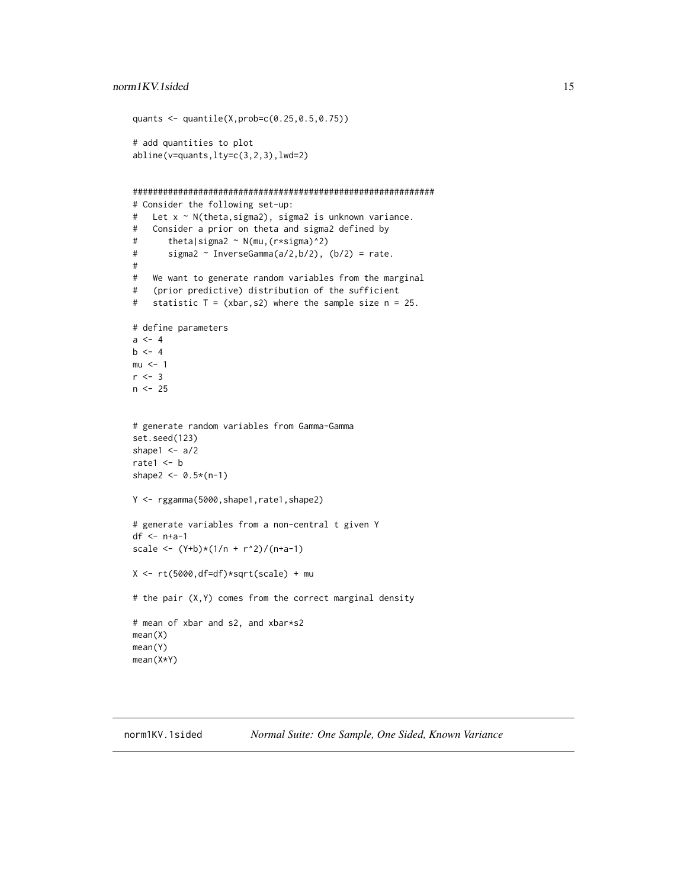```
quants <- quantile(X,prob=c(0.25,0.5,0.75))
# add quantities to plot
abline(v=quants,lty=c(3,2,3),lwd=2)
############################################################
# Consider the following set-up:
# Let x ~ N(theta,sigma2), sigma2 is unknown variance.
# Consider a prior on theta and sigma2 defined by
# theta|sigma2 ~ N(mu,(r*sigma)^2)
# sigma2 ~ InverseGamma(a/2,b/2), (b/2) = rate.
#
# We want to generate random variables from the marginal
# (prior predictive) distribution of the sufficient
# statistic T = (xbar,s2) where the sample size n = 25.
# define parameters
a < -4b \le -4mu < - 1r < -3n < -25# generate random variables from Gamma-Gamma
set.seed(123)
shape1 <-a/2rate1 <- b
shape2 <- 0.5*(n-1)
Y <- rggamma(5000,shape1,rate1,shape2)
# generate variables from a non-central t given Y
df <- n+a-1
scale <- (Y+b)*(1/n + r^2)/(n+a-1)
X \leftarrow rt(5000, df=df)*sqrt(scale) + mu# the pair (X,Y) comes from the correct marginal density
# mean of xbar and s2, and xbar*s2
mean(X)
mean(Y)
mean(X*Y)
```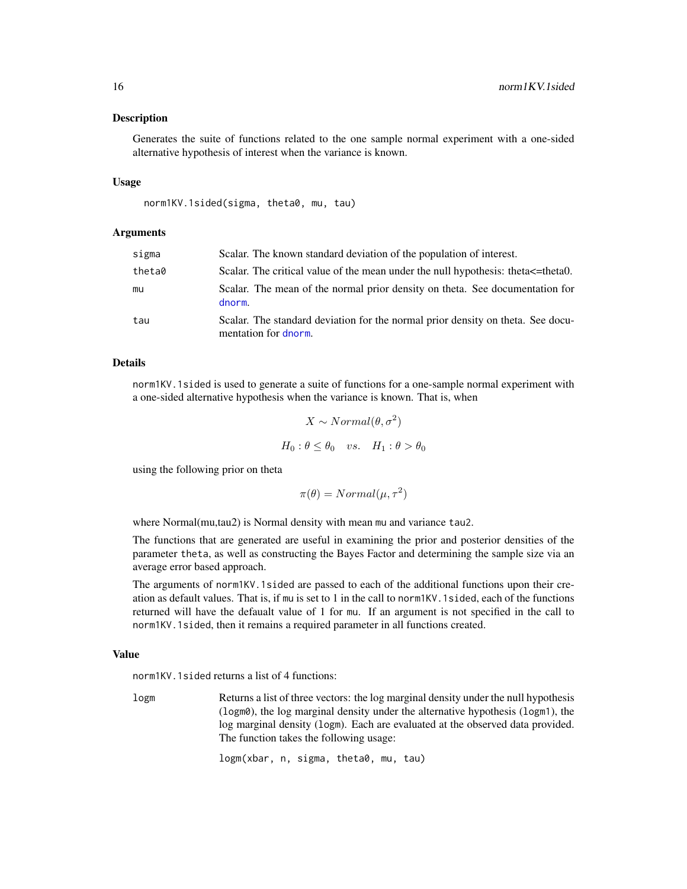#### <span id="page-15-0"></span>Description

Generates the suite of functions related to the one sample normal experiment with a one-sided alternative hypothesis of interest when the variance is known.

#### Usage

norm1KV.1sided(sigma, theta0, mu, tau)

#### Arguments

| sigma  | Scalar. The known standard deviation of the population of interest.                                     |
|--------|---------------------------------------------------------------------------------------------------------|
| theta0 | Scalar. The critical value of the mean under the null hypothesis: theta $\epsilon$ =theta0.             |
| mu     | Scalar. The mean of the normal prior density on theta. See documentation for<br>dnorm.                  |
| tau    | Scalar. The standard deviation for the normal prior density on theta. See docu-<br>mentation for dnorm. |

#### Details

norm1KV.1sided is used to generate a suite of functions for a one-sample normal experiment with a one-sided alternative hypothesis when the variance is known. That is, when

$$
X \sim Normal(\theta, \sigma^2)
$$

$$
H_0: \theta \le \theta_0 \quad vs. \quad H_1: \theta > \theta_0
$$

using the following prior on theta

$$
\pi(\theta) = Normal(\mu, \tau^2)
$$

where Normal(mu,tau2) is Normal density with mean mu and variance tau2.

The functions that are generated are useful in examining the prior and posterior densities of the parameter theta, as well as constructing the Bayes Factor and determining the sample size via an average error based approach.

The arguments of norm1KV.1sided are passed to each of the additional functions upon their creation as default values. That is, if mu is set to 1 in the call to norm1KV.1sided, each of the functions returned will have the defaualt value of 1 for mu. If an argument is not specified in the call to norm1KV.1sided, then it remains a required parameter in all functions created.

#### Value

norm1KV.1sided returns a list of 4 functions:

logm Returns a list of three vectors: the log marginal density under the null hypothesis (logm0), the log marginal density under the alternative hypothesis (logm1), the log marginal density (logm). Each are evaluated at the observed data provided. The function takes the following usage:

logm(xbar, n, sigma, theta0, mu, tau)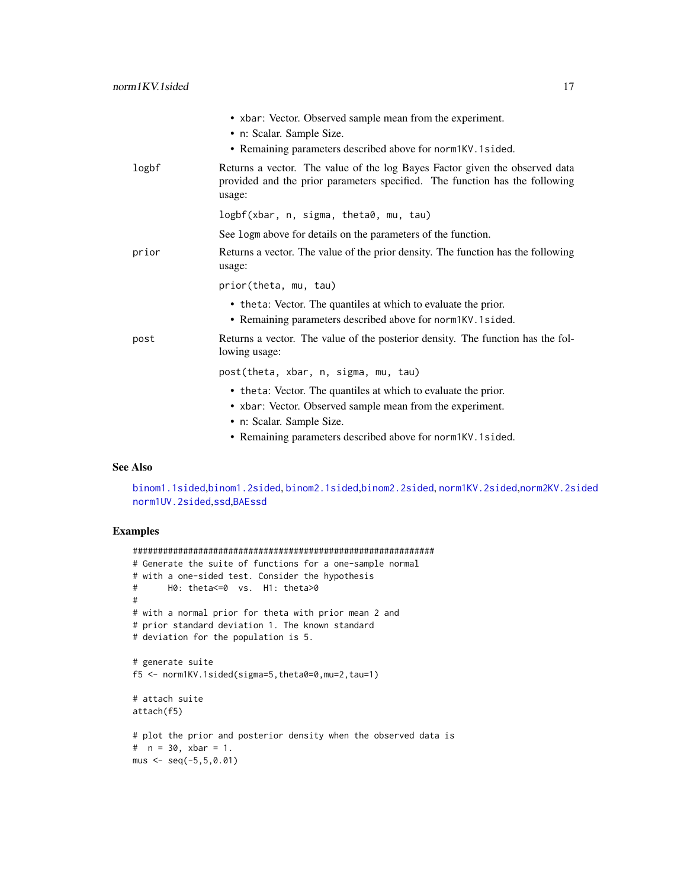<span id="page-16-0"></span>

|       | • xbar: Vector. Observed sample mean from the experiment.                                                                                                            |
|-------|----------------------------------------------------------------------------------------------------------------------------------------------------------------------|
|       | • n: Scalar. Sample Size.                                                                                                                                            |
|       | • Remaining parameters described above for norm IKV. 1 sided.                                                                                                        |
| logbf | Returns a vector. The value of the log Bayes Factor given the observed data<br>provided and the prior parameters specified. The function has the following<br>usage: |
|       | logbf(xbar, n, sigma, theta0, mu, tau)                                                                                                                               |
|       | See logm above for details on the parameters of the function.                                                                                                        |
| prior | Returns a vector. The value of the prior density. The function has the following<br>usage:                                                                           |
|       | prior(theta, mu, tau)                                                                                                                                                |
|       | • the ta: Vector. The quantiles at which to evaluate the prior.<br>• Remaining parameters described above for norm1KV.1sided.                                        |
| post  | Returns a vector. The value of the posterior density. The function has the fol-<br>lowing usage:                                                                     |
|       | post(theta, xbar, n, sigma, mu, tau)                                                                                                                                 |
|       | • theta: Vector. The quantiles at which to evaluate the prior.                                                                                                       |
|       | • xbar: Vector. Observed sample mean from the experiment.                                                                                                            |
|       | • n: Scalar. Sample Size.                                                                                                                                            |
|       | • Remaining parameters described above for norm IKV. 1 sided.                                                                                                        |

#### See Also

[binom1.1sided](#page-2-1),[binom1.2sided](#page-5-1), [binom2.1sided](#page-7-1),[binom2.2sided](#page-10-1), [norm1KV.2sided](#page-17-1),[norm2KV.2sided](#page-22-1) [norm1UV.2sided](#page-19-1),[ssd](#page-26-1),[BAEssd](#page-1-1)

```
############################################################
# Generate the suite of functions for a one-sample normal
# with a one-sided test. Consider the hypothesis
# H0: theta<=0 vs. H1: theta>0
#
# with a normal prior for theta with prior mean 2 and
# prior standard deviation 1. The known standard
# deviation for the population is 5.
# generate suite
f5 <- norm1KV.1sided(sigma=5,theta0=0,mu=2,tau=1)
# attach suite
attach(f5)
# plot the prior and posterior density when the observed data is
# n = 30, xbar = 1.
mus < - seq(-5, 5, 0.01)
```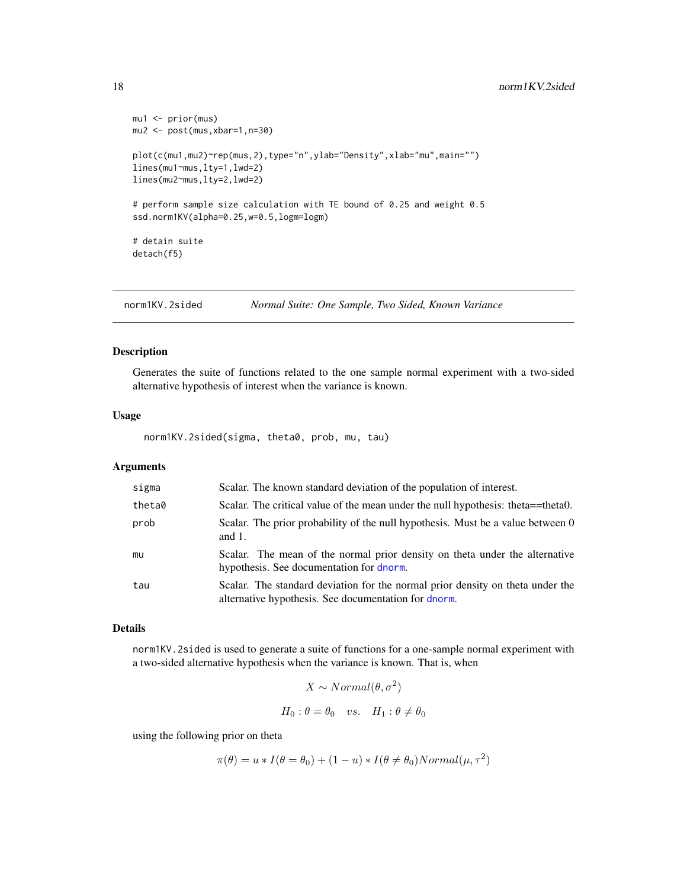```
mu1 <- prior(mus)
mu2 <- post(mus,xbar=1,n=30)
plot(c(mu1,mu2)~rep(mus,2),type="n",ylab="Density",xlab="mu",main="")
lines(mu1~mus,lty=1,lwd=2)
lines(mu2~mus,lty=2,lwd=2)
# perform sample size calculation with TE bound of 0.25 and weight 0.5
ssd.norm1KV(alpha=0.25,w=0.5,logm=logm)
# detain suite
detach(f5)
```
<span id="page-17-1"></span>norm1KV.2sided *Normal Suite: One Sample, Two Sided, Known Variance*

# Description

Generates the suite of functions related to the one sample normal experiment with a two-sided alternative hypothesis of interest when the variance is known.

#### Usage

norm1KV.2sided(sigma, theta0, prob, mu, tau)

#### Arguments

| sigma  | Scalar. The known standard deviation of the population of interest.                                                                    |
|--------|----------------------------------------------------------------------------------------------------------------------------------------|
| theta0 | Scalar. The critical value of the mean under the null hypothesis: theta==theta0.                                                       |
| prob   | Scalar. The prior probability of the null hypothesis. Must be a value between 0<br>and $1$ .                                           |
| mu     | Scalar. The mean of the normal prior density on theta under the alternative<br>hypothesis. See documentation for dnorm.                |
| tau    | Scalar. The standard deviation for the normal prior density on theta under the<br>alternative hypothesis. See documentation for dnorm. |

#### Details

norm1KV.2sided is used to generate a suite of functions for a one-sample normal experiment with a two-sided alternative hypothesis when the variance is known. That is, when

$$
X \sim Normal(\theta, \sigma^2)
$$
  

$$
H_0: \theta = \theta_0 \quad vs. \quad H_1: \theta \neq \theta_0
$$

using the following prior on theta

$$
\pi(\theta) = u * I(\theta = \theta_0) + (1 - u) * I(\theta \neq \theta_0) Normal(\mu, \tau^2)
$$

<span id="page-17-0"></span>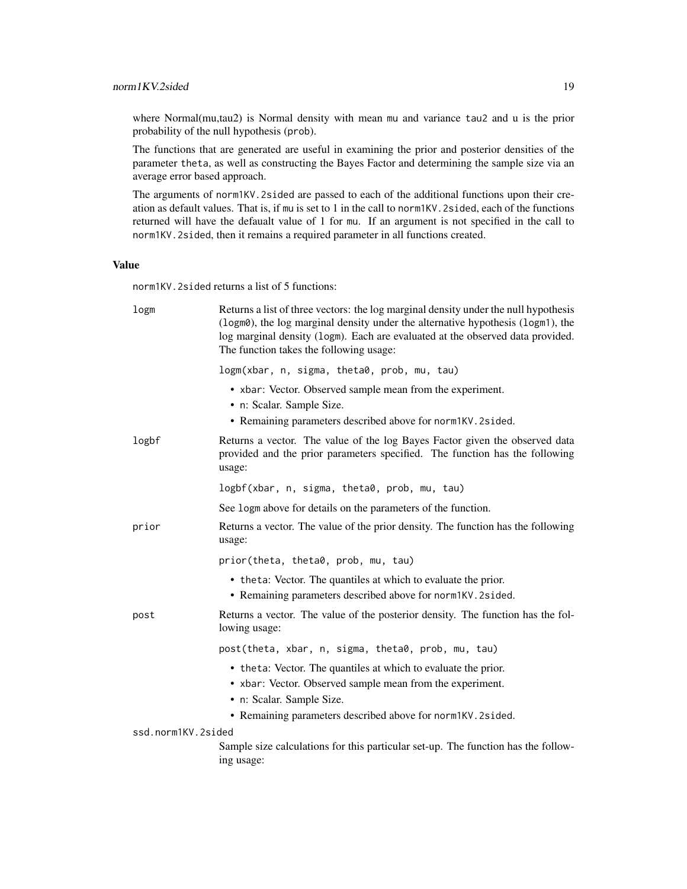#### norm1KV.2sided 19

where Normal(mu,tau2) is Normal density with mean mu and variance tau2 and u is the prior probability of the null hypothesis (prob).

The functions that are generated are useful in examining the prior and posterior densities of the parameter theta, as well as constructing the Bayes Factor and determining the sample size via an average error based approach.

The arguments of norm1KV.2sided are passed to each of the additional functions upon their creation as default values. That is, if mu is set to 1 in the call to norm1KV.2sided, each of the functions returned will have the defaualt value of 1 for mu. If an argument is not specified in the call to norm1KV.2sided, then it remains a required parameter in all functions created.

#### Value

norm1KV.2sided returns a list of 5 functions:

| logm               | Returns a list of three vectors: the log marginal density under the null hypothesis<br>(logm0), the log marginal density under the alternative hypothesis (logm1), the<br>log marginal density (logm). Each are evaluated at the observed data provided.<br>The function takes the following usage: |
|--------------------|-----------------------------------------------------------------------------------------------------------------------------------------------------------------------------------------------------------------------------------------------------------------------------------------------------|
|                    | logm(xbar, n, sigma, theta0, prob, mu, tau)                                                                                                                                                                                                                                                         |
|                    | • xbar: Vector. Observed sample mean from the experiment.<br>• n: Scalar. Sample Size.<br>• Remaining parameters described above for norm1KV.2sided.                                                                                                                                                |
| logbf              | Returns a vector. The value of the log Bayes Factor given the observed data<br>provided and the prior parameters specified. The function has the following<br>usage:                                                                                                                                |
|                    | logbf(xbar, n, sigma, theta0, prob, mu, tau)                                                                                                                                                                                                                                                        |
|                    | See logm above for details on the parameters of the function.                                                                                                                                                                                                                                       |
| prior              | Returns a vector. The value of the prior density. The function has the following<br>usage:                                                                                                                                                                                                          |
|                    | prior(theta, theta0, prob, mu, tau)                                                                                                                                                                                                                                                                 |
|                    | • theta: Vector. The quantiles at which to evaluate the prior.<br>• Remaining parameters described above for norm1KV.2sided.                                                                                                                                                                        |
| post               | Returns a vector. The value of the posterior density. The function has the fol-<br>lowing usage:                                                                                                                                                                                                    |
|                    | post(theta, xbar, n, sigma, theta0, prob, mu, tau)                                                                                                                                                                                                                                                  |
|                    | • theta: Vector. The quantiles at which to evaluate the prior.                                                                                                                                                                                                                                      |
|                    | • xbar: Vector. Observed sample mean from the experiment.                                                                                                                                                                                                                                           |
|                    | • n: Scalar. Sample Size.                                                                                                                                                                                                                                                                           |
| ssd.norm1KV.2sided | • Remaining parameters described above for norm1KV. 2sided.                                                                                                                                                                                                                                         |
|                    | Sample size calculations for this particular set-up. The function has the follow-<br>ing usage:                                                                                                                                                                                                     |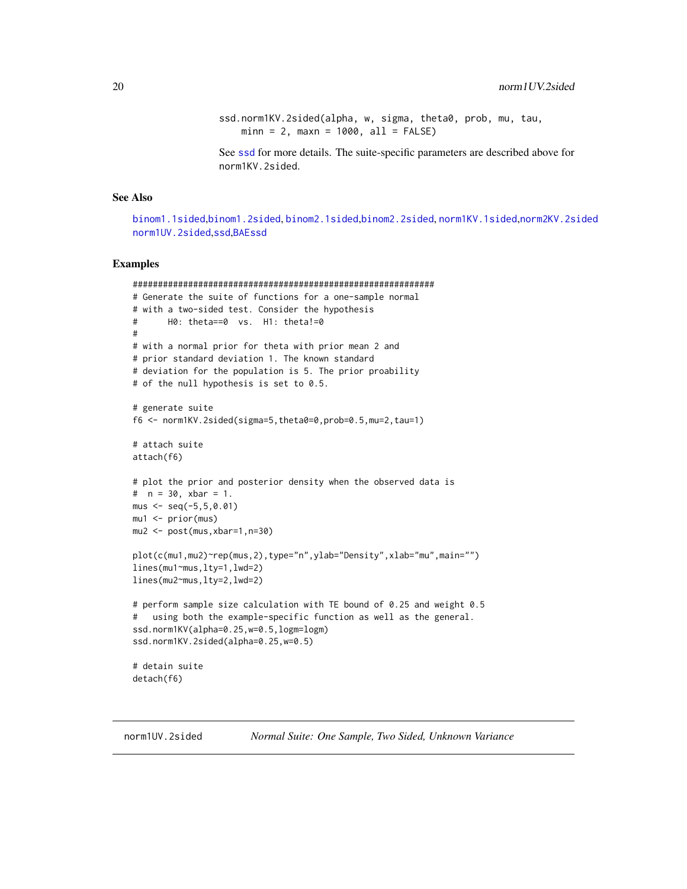<span id="page-19-0"></span>ssd.norm1KV.2sided(alpha, w, sigma, theta0, prob, mu, tau,  $min = 2$ ,  $max = 1000$ ,  $all = FALSE$ )

See [ssd](#page-26-1) for more details. The suite-specific parameters are described above for norm1KV.2sided.

# See Also

[binom1.1sided](#page-2-1),[binom1.2sided](#page-5-1), [binom2.1sided](#page-7-1),[binom2.2sided](#page-10-1), [norm1KV.1sided](#page-14-1),[norm2KV.2sided](#page-22-1) [norm1UV.2sided](#page-19-1),[ssd](#page-26-1),[BAEssd](#page-1-1)

```
############################################################
# Generate the suite of functions for a one-sample normal
# with a two-sided test. Consider the hypothesis
# H0: theta==0 vs. H1: theta!=0
#
# with a normal prior for theta with prior mean 2 and
# prior standard deviation 1. The known standard
# deviation for the population is 5. The prior proability
# of the null hypothesis is set to 0.5.
# generate suite
f6 <- norm1KV.2sided(sigma=5,theta0=0,prob=0.5,mu=2,tau=1)
# attach suite
attach(f6)
# plot the prior and posterior density when the observed data is
# n = 30, xbar = 1.
mus < - seq(-5, 5, 0.01)mu1 <- prior(mus)
mu2 <- post(mus,xbar=1,n=30)
plot(c(mu1,mu2)~rep(mus,2),type="n",ylab="Density",xlab="mu",main="")
lines(mu1~mus,lty=1,lwd=2)
lines(mu2~mus,lty=2,lwd=2)
# perform sample size calculation with TE bound of 0.25 and weight 0.5
# using both the example-specific function as well as the general.
ssd.norm1KV(alpha=0.25,w=0.5,logm=logm)
ssd.norm1KV.2sided(alpha=0.25,w=0.5)
# detain suite
detach(f6)
```
<span id="page-19-1"></span>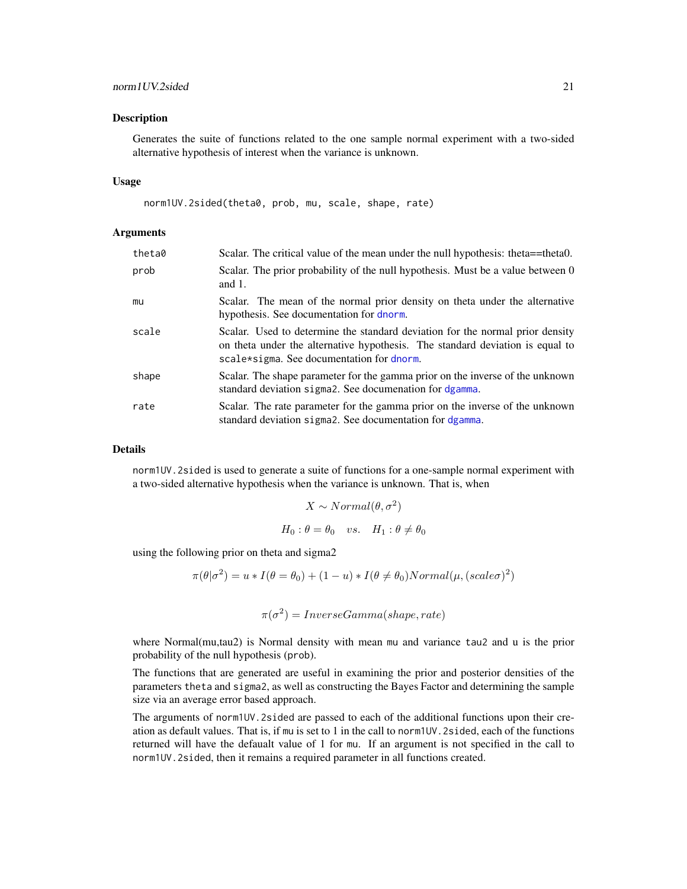#### <span id="page-20-0"></span>Description

Generates the suite of functions related to the one sample normal experiment with a two-sided alternative hypothesis of interest when the variance is unknown.

#### Usage

norm1UV.2sided(theta0, prob, mu, scale, shape, rate)

#### Arguments

| theta0 | Scalar. The critical value of the mean under the null hypothesis: theta==theta0.                                                                                                                            |
|--------|-------------------------------------------------------------------------------------------------------------------------------------------------------------------------------------------------------------|
| prob   | Scalar. The prior probability of the null hypothesis. Must be a value between 0<br>and $1$ .                                                                                                                |
| mu     | Scalar. The mean of the normal prior density on theta under the alternative<br>hypothesis. See documentation for dnorm.                                                                                     |
| scale  | Scalar. Used to determine the standard deviation for the normal prior density<br>on theta under the alternative hypothesis. The standard deviation is equal to<br>scale*sigma. See documentation for dnorm. |
| shape  | Scalar. The shape parameter for the gamma prior on the inverse of the unknown<br>standard deviation sigma2. See documenation for dgamma.                                                                    |
| rate   | Scalar. The rate parameter for the gamma prior on the inverse of the unknown<br>standard deviation sigma2. See documentation for dgamma.                                                                    |

#### Details

norm1UV.2sided is used to generate a suite of functions for a one-sample normal experiment with a two-sided alternative hypothesis when the variance is unknown. That is, when

$$
X \sim Normal(\theta, \sigma^2)
$$
  

$$
H_0: \theta = \theta_0 \quad vs. \quad H_1: \theta \neq \theta_0
$$

using the following prior on theta and sigma2

$$
\pi(\theta|\sigma^2) = u * I(\theta = \theta_0) + (1 - u) * I(\theta \neq \theta_0) Normal(\mu, (scale\sigma)^2)
$$

$$
\pi(\sigma^2) = InverseGamma(shape, rate)
$$

where Normal(mu,tau2) is Normal density with mean mu and variance tau2 and u is the prior probability of the null hypothesis (prob).

The functions that are generated are useful in examining the prior and posterior densities of the parameters theta and sigma2, as well as constructing the Bayes Factor and determining the sample size via an average error based approach.

The arguments of norm1UV.2sided are passed to each of the additional functions upon their creation as default values. That is, if mu is set to 1 in the call to norm1UV.2sided, each of the functions returned will have the defaualt value of 1 for mu. If an argument is not specified in the call to norm1UV.2sided, then it remains a required parameter in all functions created.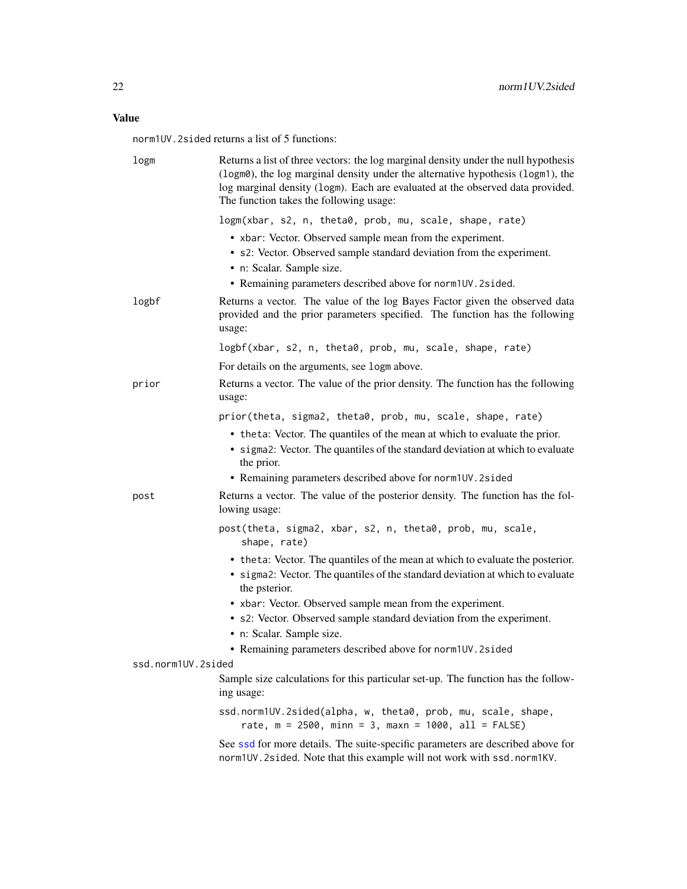# <span id="page-21-0"></span>Value

norm1UV.2sided returns a list of 5 functions:

| logm               | Returns a list of three vectors: the log marginal density under the null hypothesis<br>(logm0), the log marginal density under the alternative hypothesis (logm1), the<br>log marginal density (logm). Each are evaluated at the observed data provided.<br>The function takes the following usage:   |
|--------------------|-------------------------------------------------------------------------------------------------------------------------------------------------------------------------------------------------------------------------------------------------------------------------------------------------------|
|                    | logm(xbar, s2, n, theta0, prob, mu, scale, shape, rate)                                                                                                                                                                                                                                               |
|                    | • xbar: Vector. Observed sample mean from the experiment.<br>• s2: Vector. Observed sample standard deviation from the experiment.<br>· n: Scalar. Sample size.<br>• Remaining parameters described above for norm1UV.2sided.                                                                         |
| logbf              | Returns a vector. The value of the log Bayes Factor given the observed data<br>provided and the prior parameters specified. The function has the following<br>usage:                                                                                                                                  |
|                    | logbf(xbar, s2, n, theta0, prob, mu, scale, shape, rate)                                                                                                                                                                                                                                              |
|                    | For details on the arguments, see logm above.                                                                                                                                                                                                                                                         |
| prior              | Returns a vector. The value of the prior density. The function has the following<br>usage:                                                                                                                                                                                                            |
|                    | prior(theta, sigma2, theta0, prob, mu, scale, shape, rate)<br>• theta: Vector. The quantiles of the mean at which to evaluate the prior.<br>• sigma2: Vector. The quantiles of the standard deviation at which to evaluate<br>the prior.<br>• Remaining parameters described above for norm1UV.2sided |
| post               | Returns a vector. The value of the posterior density. The function has the fol-<br>lowing usage:                                                                                                                                                                                                      |
|                    | post(theta, sigma2, xbar, s2, n, theta0, prob, mu, scale,<br>shape, rate)                                                                                                                                                                                                                             |
|                    | • theta: Vector. The quantiles of the mean at which to evaluate the posterior.<br>• sigma2: Vector. The quantiles of the standard deviation at which to evaluate<br>the psterior.                                                                                                                     |
|                    | • xbar: Vector. Observed sample mean from the experiment.<br>• s2: Vector. Observed sample standard deviation from the experiment.<br>• n: Scalar. Sample size.<br>• Remaining parameters described above for norm1UV.2sided                                                                          |
| ssd.norm1UV.2sided |                                                                                                                                                                                                                                                                                                       |
|                    | Sample size calculations for this particular set-up. The function has the follow-<br>ing usage:                                                                                                                                                                                                       |
|                    | ssd.norm1UV.2sided(alpha, w, theta0, prob, mu, scale, shape,<br>rate, $m = 2500$ , minn = 3, maxn = 1000, all = FALSE)                                                                                                                                                                                |
|                    | See ssd for more details. The suite-specific parameters are described above for<br>norm1UV.2sided. Note that this example will not work with ssd.norm1KV.                                                                                                                                             |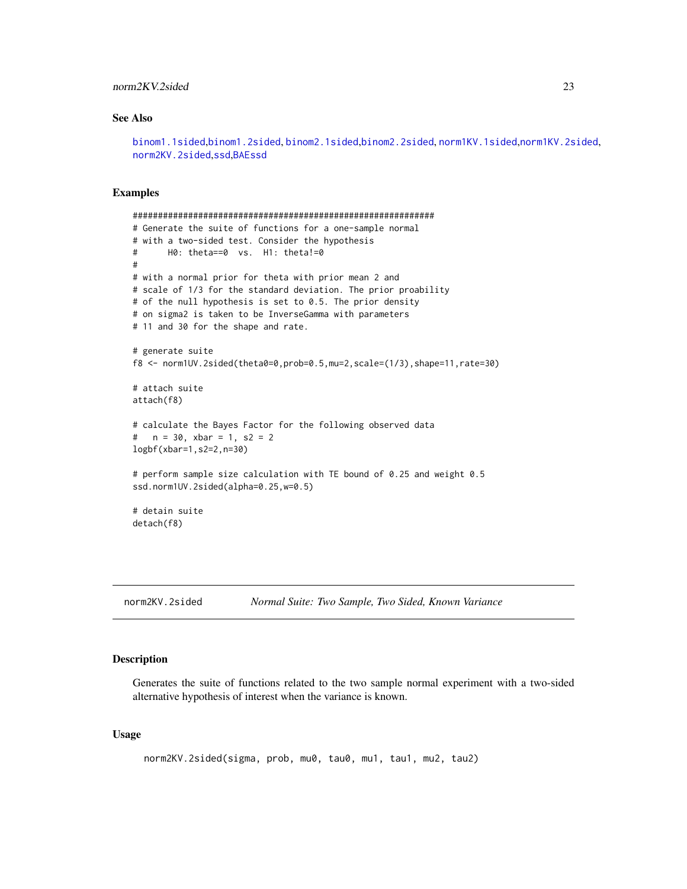### <span id="page-22-0"></span>norm2KV.2sided 23

# See Also

[binom1.1sided](#page-2-1),[binom1.2sided](#page-5-1), [binom2.1sided](#page-7-1),[binom2.2sided](#page-10-1), [norm1KV.1sided](#page-14-1),[norm1KV.2sided](#page-17-1), [norm2KV.2sided](#page-22-1),[ssd](#page-26-1),[BAEssd](#page-1-1)

#### Examples

```
############################################################
# Generate the suite of functions for a one-sample normal
# with a two-sided test. Consider the hypothesis
# H0: theta==0 vs. H1: theta!=0
#
# with a normal prior for theta with prior mean 2 and
# scale of 1/3 for the standard deviation. The prior proability
# of the null hypothesis is set to 0.5. The prior density
# on sigma2 is taken to be InverseGamma with parameters
# 11 and 30 for the shape and rate.
# generate suite
f8 <- norm1UV.2sided(theta0=0,prob=0.5,mu=2,scale=(1/3),shape=11,rate=30)
# attach suite
attach(f8)
# calculate the Bayes Factor for the following observed data
# n = 30, xbar = 1, s2 = 2
logbf(xbar=1,s2=2,n=30)
# perform sample size calculation with TE bound of 0.25 and weight 0.5
ssd.norm1UV.2sided(alpha=0.25,w=0.5)
# detain suite
detach(f8)
```
<span id="page-22-1"></span>norm2KV.2sided *Normal Suite: Two Sample, Two Sided, Known Variance*

#### Description

Generates the suite of functions related to the two sample normal experiment with a two-sided alternative hypothesis of interest when the variance is known.

#### Usage

norm2KV.2sided(sigma, prob, mu0, tau0, mu1, tau1, mu2, tau2)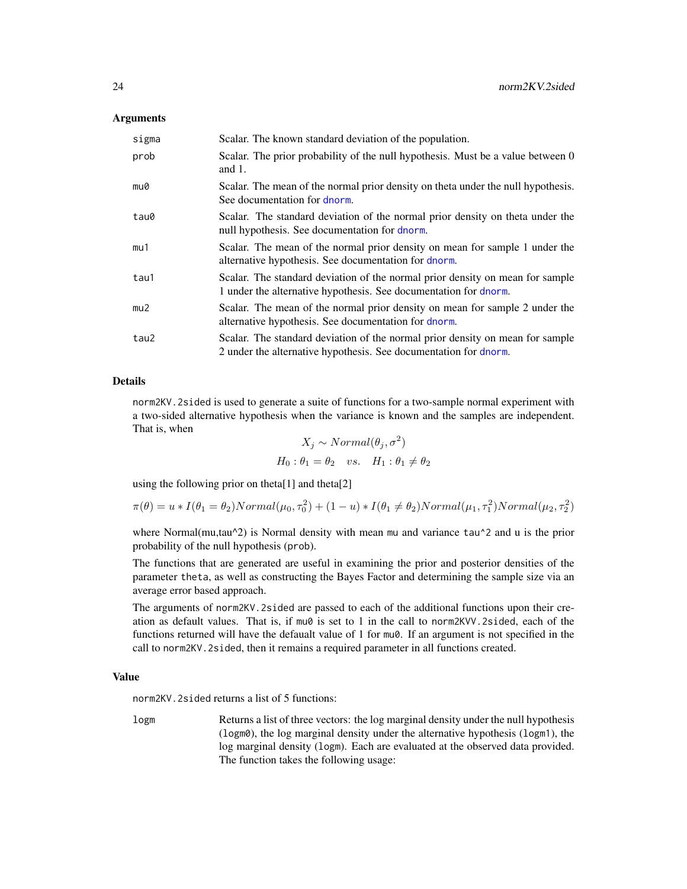#### <span id="page-23-0"></span>Arguments

| sigma | Scalar. The known standard deviation of the population.                                                                                           |
|-------|---------------------------------------------------------------------------------------------------------------------------------------------------|
| prob  | Scalar. The prior probability of the null hypothesis. Must be a value between 0<br>and $1$ .                                                      |
| mu0   | Scalar. The mean of the normal prior density on theta under the null hypothesis.<br>See documentation for dnorm.                                  |
| tau0  | Scalar. The standard deviation of the normal prior density on theta under the<br>null hypothesis. See documentation for dnorm.                    |
| mu1   | Scalar. The mean of the normal prior density on mean for sample 1 under the<br>alternative hypothesis. See documentation for dnorm.               |
| tau1  | Scalar. The standard deviation of the normal prior density on mean for sample<br>1 under the alternative hypothesis. See documentation for dnorm. |
| mu2   | Scalar. The mean of the normal prior density on mean for sample 2 under the<br>alternative hypothesis. See documentation for dnorm.               |
| tau2  | Scalar. The standard deviation of the normal prior density on mean for sample<br>2 under the alternative hypothesis. See documentation for dnorm. |

#### Details

norm2KV.2sided is used to generate a suite of functions for a two-sample normal experiment with a two-sided alternative hypothesis when the variance is known and the samples are independent. That is, when

$$
X_j \sim Normal(\theta_j, \sigma^2)
$$
  

$$
H_0: \theta_1 = \theta_2 \quad vs. \quad H_1: \theta_1 \neq \theta_2
$$

using the following prior on theta[1] and theta[2]

$$
\pi(\theta) = u * I(\theta_1 = \theta_2) Normal(\mu_0, \tau_0^2) + (1 - u) * I(\theta_1 \neq \theta_2) Normal(\mu_1, \tau_1^2) Normal(\mu_2, \tau_2^2)
$$

where Normal(mu,tau^2) is Normal density with mean mu and variance tau^2 and u is the prior probability of the null hypothesis (prob).

The functions that are generated are useful in examining the prior and posterior densities of the parameter theta, as well as constructing the Bayes Factor and determining the sample size via an average error based approach.

The arguments of norm2KV.2sided are passed to each of the additional functions upon their creation as default values. That is, if mu0 is set to 1 in the call to norm2KVV.2sided, each of the functions returned will have the defaualt value of 1 for mu0. If an argument is not specified in the call to norm2KV.2sided, then it remains a required parameter in all functions created.

#### Value

norm2KV.2sided returns a list of 5 functions:

logm Returns a list of three vectors: the log marginal density under the null hypothesis (logm0), the log marginal density under the alternative hypothesis (logm1), the log marginal density (logm). Each are evaluated at the observed data provided. The function takes the following usage: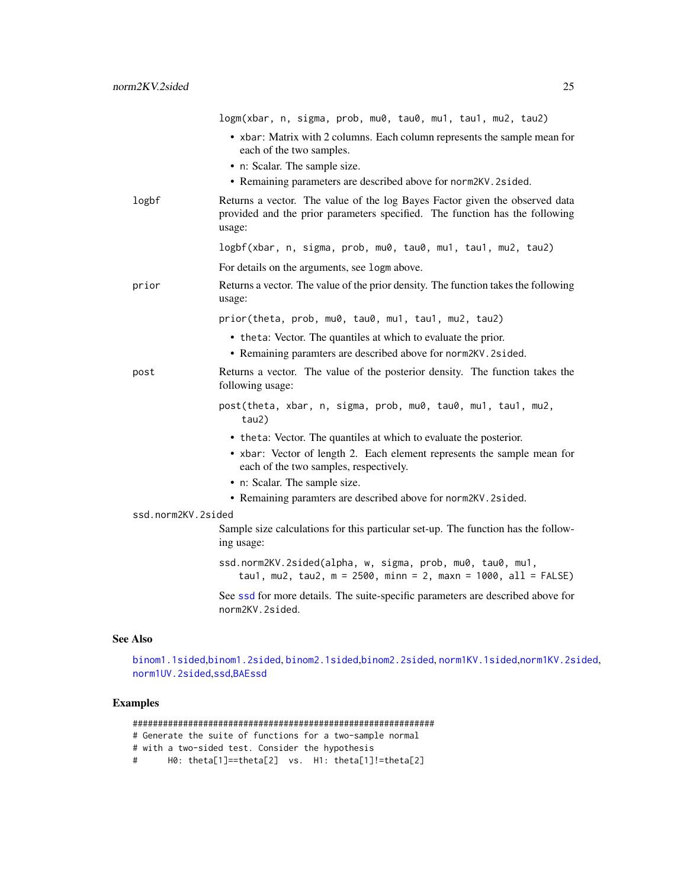<span id="page-24-0"></span>logm(xbar, n, sigma, prob, mu0, tau0, mu1, tau1, mu2, tau2) • xbar: Matrix with 2 columns. Each column represents the sample mean for each of the two samples. • n: Scalar. The sample size. • Remaining parameters are described above for norm2KV.2sided. logbf Returns a vector. The value of the log Bayes Factor given the observed data provided and the prior parameters specified. The function has the following usage: logbf(xbar, n, sigma, prob, mu0, tau0, mu1, tau1, mu2, tau2) For details on the arguments, see logm above. prior Returns a vector. The value of the prior density. The function takes the following usage: prior(theta, prob, mu0, tau0, mu1, tau1, mu2, tau2) • theta: Vector. The quantiles at which to evaluate the prior. • Remaining paramters are described above for norm2KV.2sided. post Returns a vector. The value of the posterior density. The function takes the following usage: post(theta, xbar, n, sigma, prob, mu0, tau0, mu1, tau1, mu2, tau2) • theta: Vector. The quantiles at which to evaluate the posterior. • xbar: Vector of length 2. Each element represents the sample mean for each of the two samples, respectively. • n: Scalar. The sample size. • Remaining paramters are described above for norm2KV.2sided. ssd.norm2KV.2sided Sample size calculations for this particular set-up. The function has the following usage: ssd.norm2KV.2sided(alpha, w, sigma, prob, mu0, tau0, mu1, tau1, mu2, tau2,  $m = 2500$ , minn = 2, maxn = 1000, all = FALSE) See [ssd](#page-26-1) for more details. The suite-specific parameters are described above for norm2KV.2sided.

#### See Also

[binom1.1sided](#page-2-1),[binom1.2sided](#page-5-1), [binom2.1sided](#page-7-1),[binom2.2sided](#page-10-1), [norm1KV.1sided](#page-14-1),[norm1KV.2sided](#page-17-1), [norm1UV.2sided](#page-19-1),[ssd](#page-26-1),[BAEssd](#page-1-1)

```
############################################################
# Generate the suite of functions for a two-sample normal
# with a two-sided test. Consider the hypothesis
# H0: theta[1]==theta[2] vs. H1: theta[1]!=theta[2]
```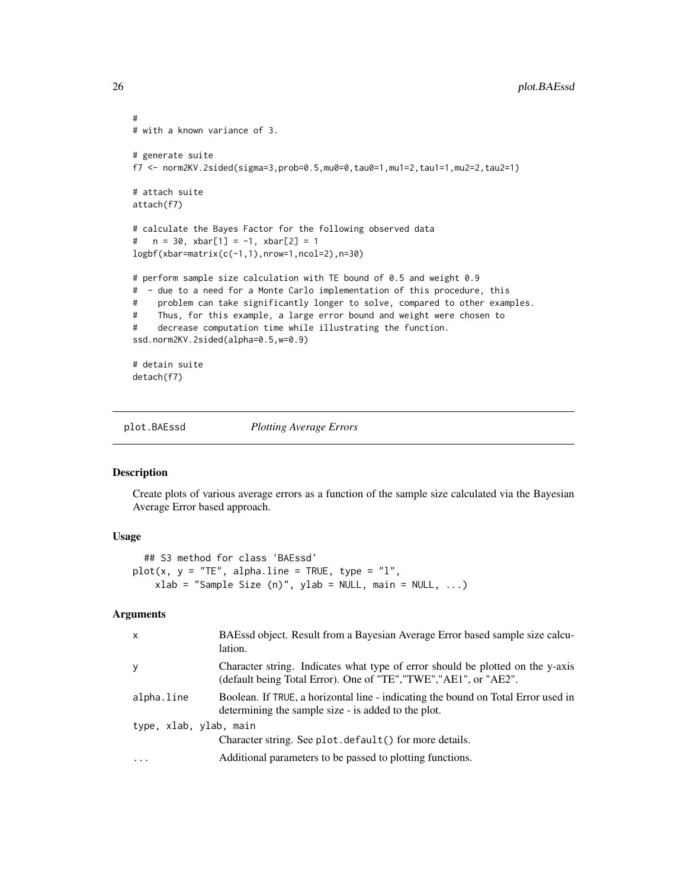```
#
# with a known variance of 3.
# generate suite
f7 <- norm2KV.2sided(sigma=3,prob=0.5,mu0=0,tau0=1,mu1=2,tau1=1,mu2=2,tau2=1)
# attach suite
attach(f7)
# calculate the Bayes Factor for the following observed data
# n = 30, xbar[1] = -1, xbar[2] = 1
logbf(xbar=matrix(c(-1,1),nrow=1,ncol=2),n=30)
# perform sample size calculation with TE bound of 0.5 and weight 0.9
# - due to a need for a Monte Carlo implementation of this procedure, this
# problem can take significantly longer to solve, compared to other examples.
# Thus, for this example, a large error bound and weight were chosen to
# decrease computation time while illustrating the function.
ssd.norm2KV.2sided(alpha=0.5,w=0.9)
# detain suite
detach(f7)
```
<span id="page-25-1"></span>plot.BAEssd *Plotting Average Errors*

#### Description

Create plots of various average errors as a function of the sample size calculated via the Bayesian Average Error based approach.

#### Usage

```
## S3 method for class 'BAEssd'
plot(x, y = "TE", alpha.linalg = TRUE, type = "l",xlab = "Sample Size (n)", ylab = NULL, main = NULL, ...)
```
#### Arguments

| $\mathsf{x}$           | BAEssd object. Result from a Bayesian Average Error based sample size calcu-<br>lation.                                                             |  |
|------------------------|-----------------------------------------------------------------------------------------------------------------------------------------------------|--|
| y                      | Character string. Indicates what type of error should be plotted on the y-axis<br>(default being Total Error). One of "TE", "TWE", "AE1", or "AE2". |  |
| alpha.line             | Boolean. If TRUE, a horizontal line - indicating the bound on Total Error used in<br>determining the sample size - is added to the plot.            |  |
| type, xlab, ylab, main |                                                                                                                                                     |  |
|                        | Character string. See plot. default () for more details.                                                                                            |  |
| $\ddotsc$              | Additional parameters to be passed to plotting functions.                                                                                           |  |

<span id="page-25-0"></span>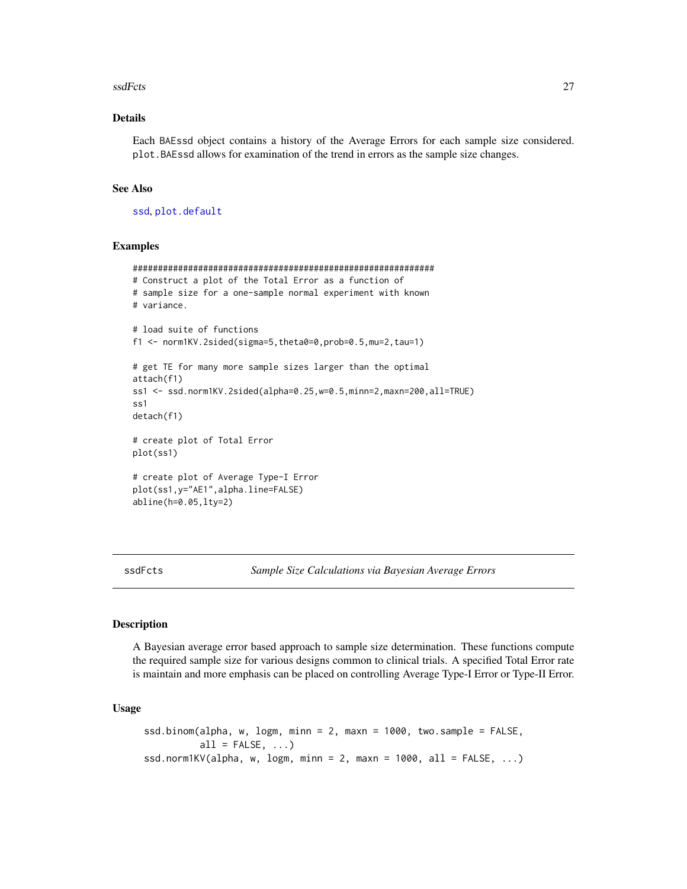#### <span id="page-26-0"></span>ssdFcts 27

#### Details

Each BAEssd object contains a history of the Average Errors for each sample size considered. plot.BAEssd allows for examination of the trend in errors as the sample size changes.

#### See Also

[ssd](#page-26-1), [plot.default](#page-0-0)

# Examples

```
############################################################
# Construct a plot of the Total Error as a function of
# sample size for a one-sample normal experiment with known
# variance.
# load suite of functions
f1 <- norm1KV.2sided(sigma=5,theta0=0,prob=0.5,mu=2,tau=1)
# get TE for many more sample sizes larger than the optimal
attach(f1)
ss1 <- ssd.norm1KV.2sided(alpha=0.25,w=0.5,minn=2,maxn=200,all=TRUE)
ss1
detach(f1)
# create plot of Total Error
plot(ss1)
# create plot of Average Type-I Error
plot(ss1,y="AE1",alpha.line=FALSE)
abline(h=0.05,lty=2)
```
ssdFcts *Sample Size Calculations via Bayesian Average Errors*

#### <span id="page-26-1"></span>Description

A Bayesian average error based approach to sample size determination. These functions compute the required sample size for various designs common to clinical trials. A specified Total Error rate is maintain and more emphasis can be placed on controlling Average Type-I Error or Type-II Error.

#### Usage

```
ssd.binom(alpha, w, logm, minn = 2, maxn = 1000, two.sample = FALSE,
          all = FALSE, ...)ssd.norm1KV(alpha, w, logm, minn = 2, maxn = 1000, all = FALSE, \ldots)
```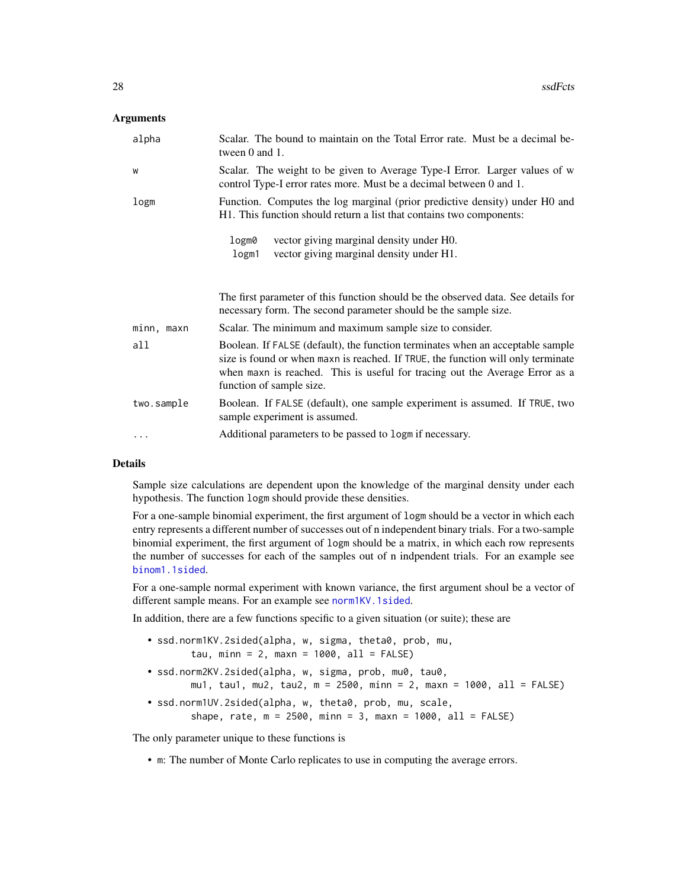#### <span id="page-27-0"></span>**Arguments**

| alpha      | Scalar. The bound to maintain on the Total Error rate. Must be a decimal be-<br>tween $0$ and $1$ .                                                                                                                                                                           |
|------------|-------------------------------------------------------------------------------------------------------------------------------------------------------------------------------------------------------------------------------------------------------------------------------|
| W          | Scalar. The weight to be given to Average Type-I Error. Larger values of w<br>control Type-I error rates more. Must be a decimal between 0 and 1.                                                                                                                             |
| logm       | Function. Computes the log marginal (prior predictive density) under H0 and<br>H1. This function should return a list that contains two components:                                                                                                                           |
|            | vector giving marginal density under H0.<br>logm0                                                                                                                                                                                                                             |
|            | vector giving marginal density under H1.<br>logm1                                                                                                                                                                                                                             |
|            |                                                                                                                                                                                                                                                                               |
|            | The first parameter of this function should be the observed data. See details for<br>necessary form. The second parameter should be the sample size.                                                                                                                          |
| minn, maxn | Scalar. The minimum and maximum sample size to consider.                                                                                                                                                                                                                      |
|            |                                                                                                                                                                                                                                                                               |
| all        | Boolean. If FALSE (default), the function terminates when an acceptable sample<br>size is found or when maxn is reached. If TRUE, the function will only terminate<br>when maxn is reached. This is useful for tracing out the Average Error as a<br>function of sample size. |
| two.sample | Boolean. If FALSE (default), one sample experiment is assumed. If TRUE, two<br>sample experiment is assumed.                                                                                                                                                                  |

#### Details

Sample size calculations are dependent upon the knowledge of the marginal density under each hypothesis. The function logm should provide these densities.

For a one-sample binomial experiment, the first argument of logm should be a vector in which each entry represents a different number of successes out of n independent binary trials. For a two-sample binomial experiment, the first argument of logm should be a matrix, in which each row represents the number of successes for each of the samples out of n indpendent trials. For an example see [binom1.1sided](#page-2-1).

For a one-sample normal experiment with known variance, the first argument shoul be a vector of different sample means. For an example see [norm1KV.1sided](#page-14-1).

In addition, there are a few functions specific to a given situation (or suite); these are

- ssd.norm1KV.2sided(alpha, w, sigma, theta0, prob, mu, tau, minn =  $2$ , maxn =  $1000$ , all =  $FALSE$ )
- ssd.norm2KV.2sided(alpha, w, sigma, prob, mu0, tau0, mu1, tau1, mu2, tau2, m = 2500, minn = 2, maxn = 1000, all = FALSE)
- ssd.norm1UV.2sided(alpha, w, theta0, prob, mu, scale, shape, rate,  $m = 2500$ , minn = 3, maxn = 1000, all = FALSE)

The only parameter unique to these functions is

• m: The number of Monte Carlo replicates to use in computing the average errors.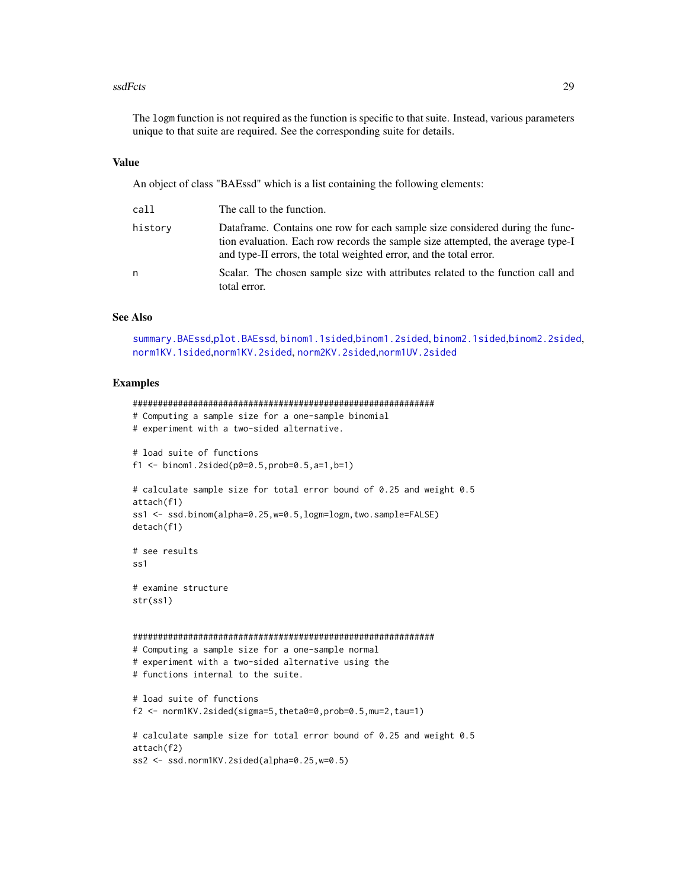#### <span id="page-28-0"></span>ssdFcts 29

The logm function is not required as the function is specific to that suite. Instead, various parameters unique to that suite are required. See the corresponding suite for details.

#### Value

An object of class "BAEssd" which is a list containing the following elements:

| call    | The call to the function.                                                                                                                                                                                                             |
|---------|---------------------------------------------------------------------------------------------------------------------------------------------------------------------------------------------------------------------------------------|
| history | Dataframe. Contains one row for each sample size considered during the func-<br>tion evaluation. Each row records the sample size attempted, the average type-I<br>and type-II errors, the total weighted error, and the total error. |
| n       | Scalar. The chosen sample size with attributes related to the function call and<br>total error.                                                                                                                                       |

#### See Also

[summary.BAEssd](#page-29-1),[plot.BAEssd](#page-25-1), [binom1.1sided](#page-2-1),[binom1.2sided](#page-5-1), [binom2.1sided](#page-7-1),[binom2.2sided](#page-10-1), [norm1KV.1sided](#page-14-1),[norm1KV.2sided](#page-17-1), [norm2KV.2sided](#page-22-1),[norm1UV.2sided](#page-19-1)

```
############################################################
# Computing a sample size for a one-sample binomial
# experiment with a two-sided alternative.
# load suite of functions
f1 \le binom1.2sided(p0=0.5,prob=0.5,a=1,b=1)
# calculate sample size for total error bound of 0.25 and weight 0.5
attach(f1)
ss1 <- ssd.binom(alpha=0.25,w=0.5,logm=logm,two.sample=FALSE)
detach(f1)
# see results
ss<sub>1</sub>
# examine structure
str(ss1)
############################################################
# Computing a sample size for a one-sample normal
# experiment with a two-sided alternative using the
# functions internal to the suite.
# load suite of functions
f2 <- norm1KV.2sided(sigma=5,theta0=0,prob=0.5,mu=2,tau=1)
# calculate sample size for total error bound of 0.25 and weight 0.5
attach(f2)
ss2 <- ssd.norm1KV.2sided(alpha=0.25,w=0.5)
```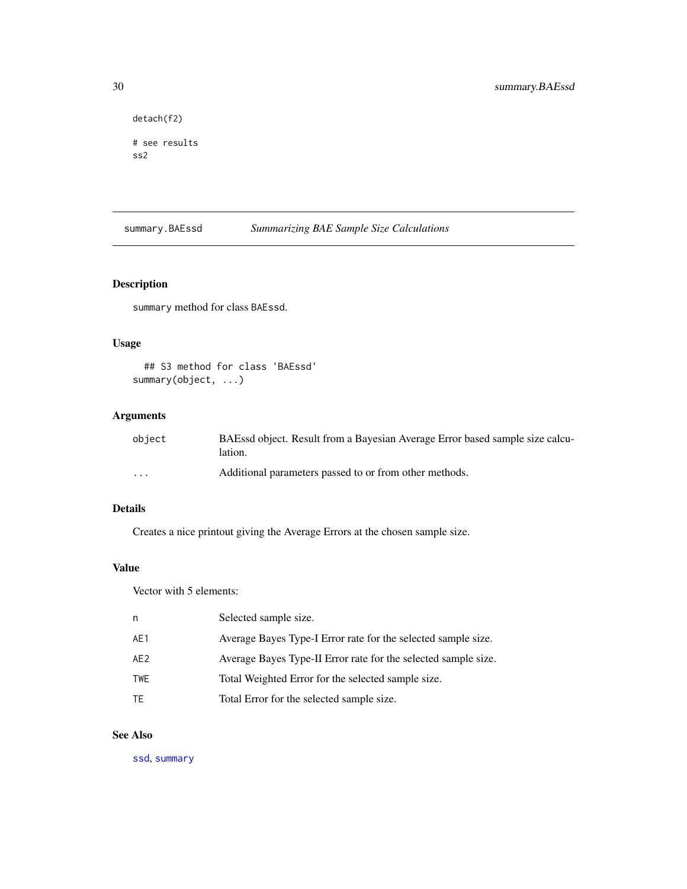```
detach(f2)
# see results
ss2
```
<span id="page-29-1"></span>summary.BAEssd *Summarizing BAE Sample Size Calculations*

# Description

summary method for class BAEssd.

# Usage

## S3 method for class 'BAEssd' summary(object, ...)

# Arguments

| obiect  | BAEssd object. Result from a Bayesian Average Error based sample size calcu-<br>lation. |
|---------|-----------------------------------------------------------------------------------------|
| $\cdot$ | Additional parameters passed to or from other methods.                                  |

# Details

Creates a nice printout giving the Average Errors at the chosen sample size.

# Value

Vector with 5 elements:

| Average Bayes Type-I Error rate for the selected sample size.<br>AE1<br>AE2<br>Total Weighted Error for the selected sample size.<br><b>TWE</b><br>Total Error for the selected sample size.<br>TE | n | Selected sample size.                                          |
|----------------------------------------------------------------------------------------------------------------------------------------------------------------------------------------------------|---|----------------------------------------------------------------|
|                                                                                                                                                                                                    |   |                                                                |
|                                                                                                                                                                                                    |   | Average Bayes Type-II Error rate for the selected sample size. |
|                                                                                                                                                                                                    |   |                                                                |
|                                                                                                                                                                                                    |   |                                                                |

# See Also

[ssd](#page-26-1), [summary](#page-0-0)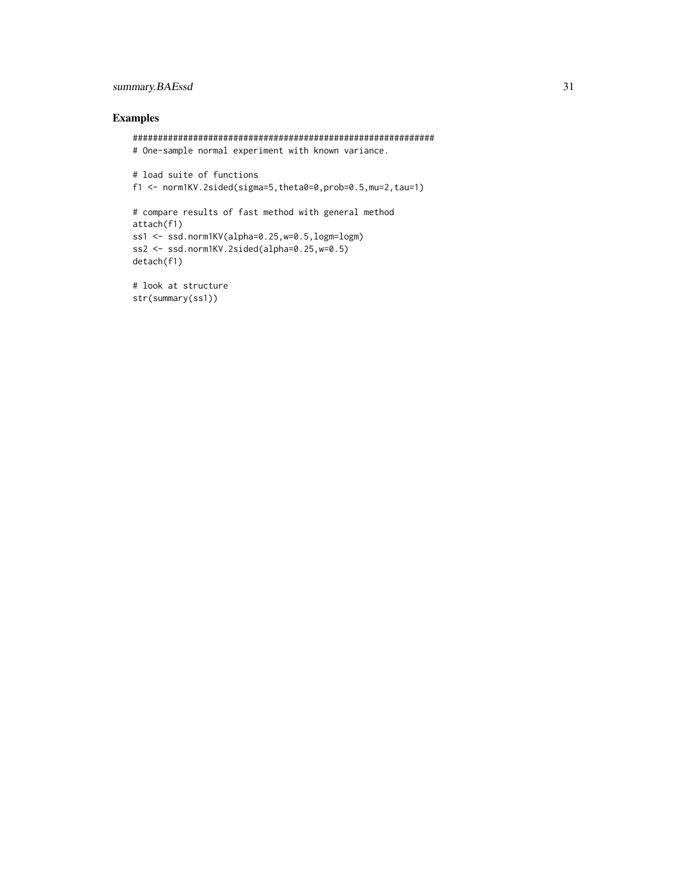# summary.BAEssd 31

```
############################################################
# One-sample normal experiment with known variance.
# load suite of functions
f1 <- norm1KV.2sided(sigma=5,theta0=0,prob=0.5,mu=2,tau=1)
# compare results of fast method with general method
attach(f1)
ss1 <- ssd.norm1KV(alpha=0.25,w=0.5,logm=logm)
ss2 <- ssd.norm1KV.2sided(alpha=0.25,w=0.5)
detach(f1)
```

```
# look at structure
str(summary(ss1))
```